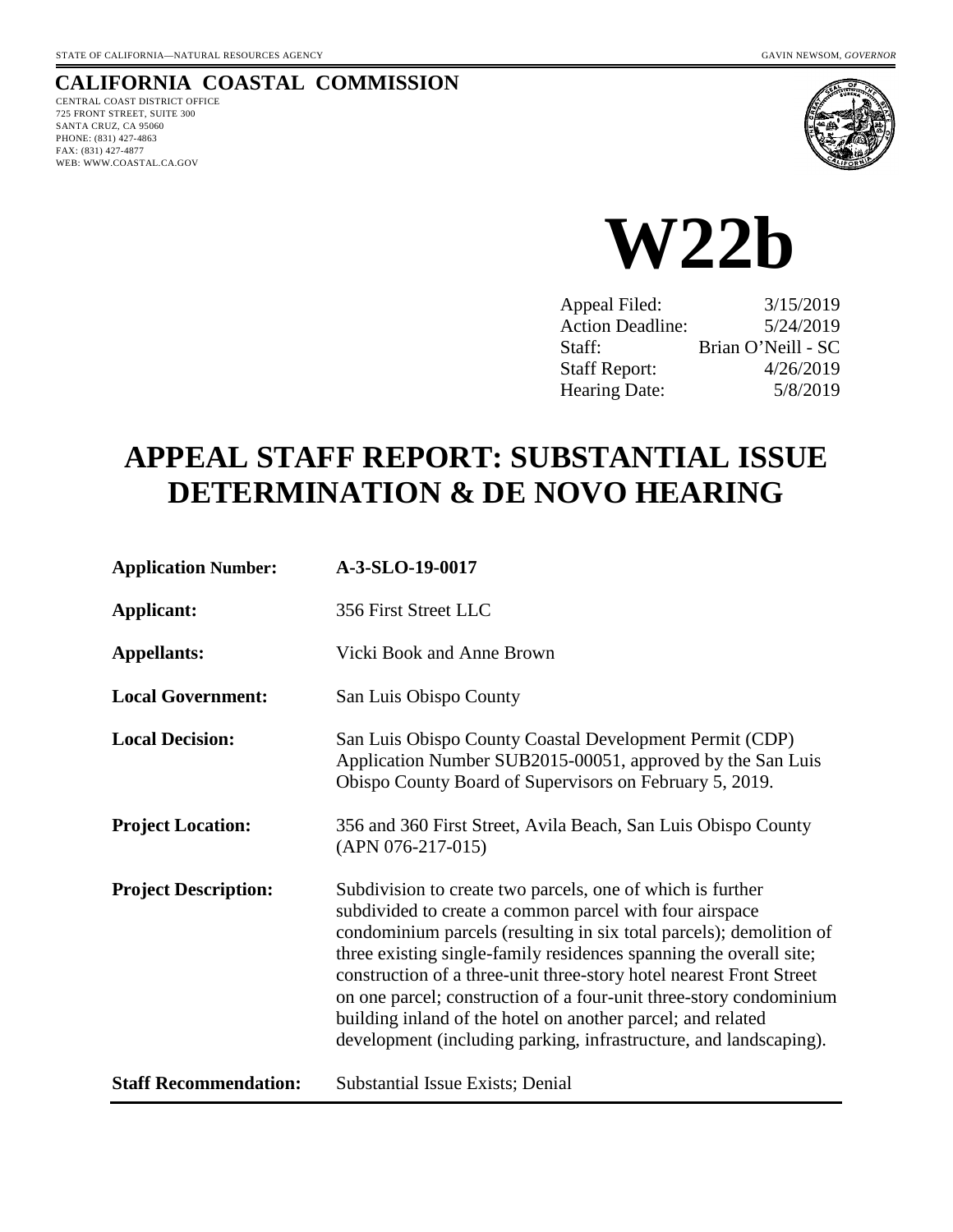# **CALIFORNIA COASTAL COMMISSION**

CENTRAL COAST DISTRICT OFFICE 725 FRONT STREET, SUITE 300 SANTA CRUZ, CA 95060 PHONE: (831) 427-4863 FAX: (831) 427-4877 WEB: WWW.COASTAL.CA.GOV





| Appeal Filed:           | 3/15/2019          |
|-------------------------|--------------------|
| <b>Action Deadline:</b> | 5/24/2019          |
| Staff:                  | Brian O'Neill - SC |
| <b>Staff Report:</b>    | 4/26/2019          |
| Hearing Date:           | 5/8/2019           |

# **APPEAL STAFF REPORT: SUBSTANTIAL ISSUE DETERMINATION & DE NOVO HEARING**

| <b>Application Number:</b>   | A-3-SLO-19-0017                                                                                                                                                                                                                                                                                                                                                                                                                                                                                                                                     |  |
|------------------------------|-----------------------------------------------------------------------------------------------------------------------------------------------------------------------------------------------------------------------------------------------------------------------------------------------------------------------------------------------------------------------------------------------------------------------------------------------------------------------------------------------------------------------------------------------------|--|
| <b>Applicant:</b>            | 356 First Street LLC                                                                                                                                                                                                                                                                                                                                                                                                                                                                                                                                |  |
| <b>Appellants:</b>           | Vicki Book and Anne Brown                                                                                                                                                                                                                                                                                                                                                                                                                                                                                                                           |  |
| <b>Local Government:</b>     | San Luis Obispo County                                                                                                                                                                                                                                                                                                                                                                                                                                                                                                                              |  |
| <b>Local Decision:</b>       | San Luis Obispo County Coastal Development Permit (CDP)<br>Application Number SUB2015-00051, approved by the San Luis<br>Obispo County Board of Supervisors on February 5, 2019.                                                                                                                                                                                                                                                                                                                                                                    |  |
| <b>Project Location:</b>     | 356 and 360 First Street, Avila Beach, San Luis Obispo County<br>$(APN 076-217-015)$                                                                                                                                                                                                                                                                                                                                                                                                                                                                |  |
| <b>Project Description:</b>  | Subdivision to create two parcels, one of which is further<br>subdivided to create a common parcel with four airspace<br>condominium parcels (resulting in six total parcels); demolition of<br>three existing single-family residences spanning the overall site;<br>construction of a three-unit three-story hotel nearest Front Street<br>on one parcel; construction of a four-unit three-story condominium<br>building inland of the hotel on another parcel; and related<br>development (including parking, infrastructure, and landscaping). |  |
| <b>Staff Recommendation:</b> | Substantial Issue Exists; Denial                                                                                                                                                                                                                                                                                                                                                                                                                                                                                                                    |  |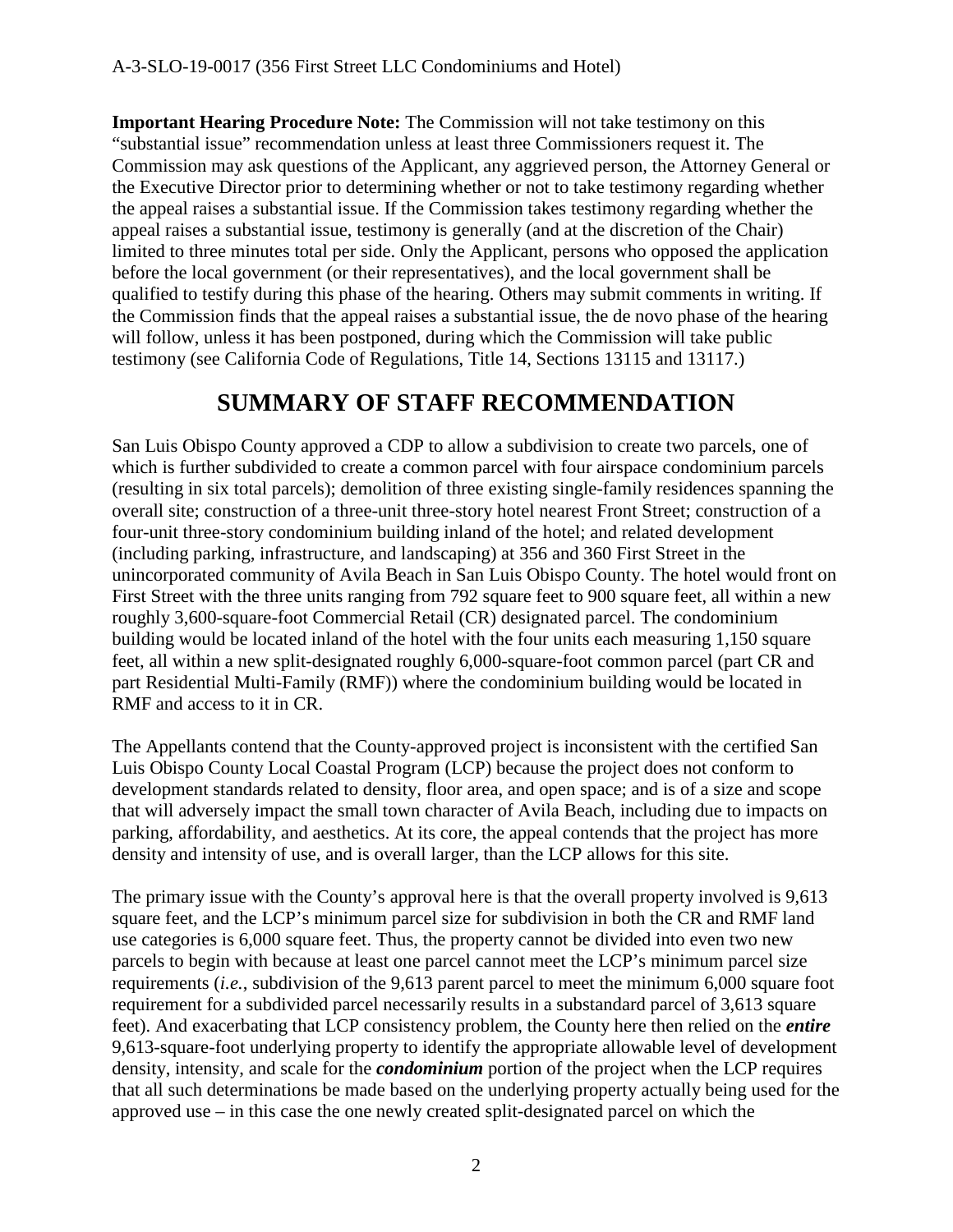**Important Hearing Procedure Note:** The Commission will not take testimony on this "substantial issue" recommendation unless at least three Commissioners request it. The Commission may ask questions of the Applicant, any aggrieved person, the Attorney General or the Executive Director prior to determining whether or not to take testimony regarding whether the appeal raises a substantial issue. If the Commission takes testimony regarding whether the appeal raises a substantial issue, testimony is generally (and at the discretion of the Chair) limited to three minutes total per side. Only the Applicant, persons who opposed the application before the local government (or their representatives), and the local government shall be qualified to testify during this phase of the hearing. Others may submit comments in writing. If the Commission finds that the appeal raises a substantial issue, the de novo phase of the hearing will follow, unless it has been postponed, during which the Commission will take public testimony (see California Code of Regulations, Title 14, Sections 13115 and 13117.)

# **SUMMARY OF STAFF RECOMMENDATION**

San Luis Obispo County approved a CDP to allow a subdivision to create two parcels, one of which is further subdivided to create a common parcel with four airspace condominium parcels (resulting in six total parcels); demolition of three existing single-family residences spanning the overall site; construction of a three-unit three-story hotel nearest Front Street; construction of a four-unit three-story condominium building inland of the hotel; and related development (including parking, infrastructure, and landscaping) at 356 and 360 First Street in the unincorporated community of Avila Beach in San Luis Obispo County. The hotel would front on First Street with the three units ranging from 792 square feet to 900 square feet, all within a new roughly 3,600-square-foot Commercial Retail (CR) designated parcel. The condominium building would be located inland of the hotel with the four units each measuring 1,150 square feet, all within a new split-designated roughly 6,000-square-foot common parcel (part CR and part Residential Multi-Family (RMF)) where the condominium building would be located in RMF and access to it in CR.

The Appellants contend that the County-approved project is inconsistent with the certified San Luis Obispo County Local Coastal Program (LCP) because the project does not conform to development standards related to density, floor area, and open space; and is of a size and scope that will adversely impact the small town character of Avila Beach, including due to impacts on parking, affordability, and aesthetics. At its core, the appeal contends that the project has more density and intensity of use, and is overall larger, than the LCP allows for this site.

The primary issue with the County's approval here is that the overall property involved is 9,613 square feet, and the LCP's minimum parcel size for subdivision in both the CR and RMF land use categories is 6,000 square feet. Thus, the property cannot be divided into even two new parcels to begin with because at least one parcel cannot meet the LCP's minimum parcel size requirements (*i.e.*, subdivision of the 9,613 parent parcel to meet the minimum 6,000 square foot requirement for a subdivided parcel necessarily results in a substandard parcel of 3,613 square feet). And exacerbating that LCP consistency problem, the County here then relied on the *entire* 9,613-square-foot underlying property to identify the appropriate allowable level of development density, intensity, and scale for the *condominium* portion of the project when the LCP requires that all such determinations be made based on the underlying property actually being used for the approved use – in this case the one newly created split-designated parcel on which the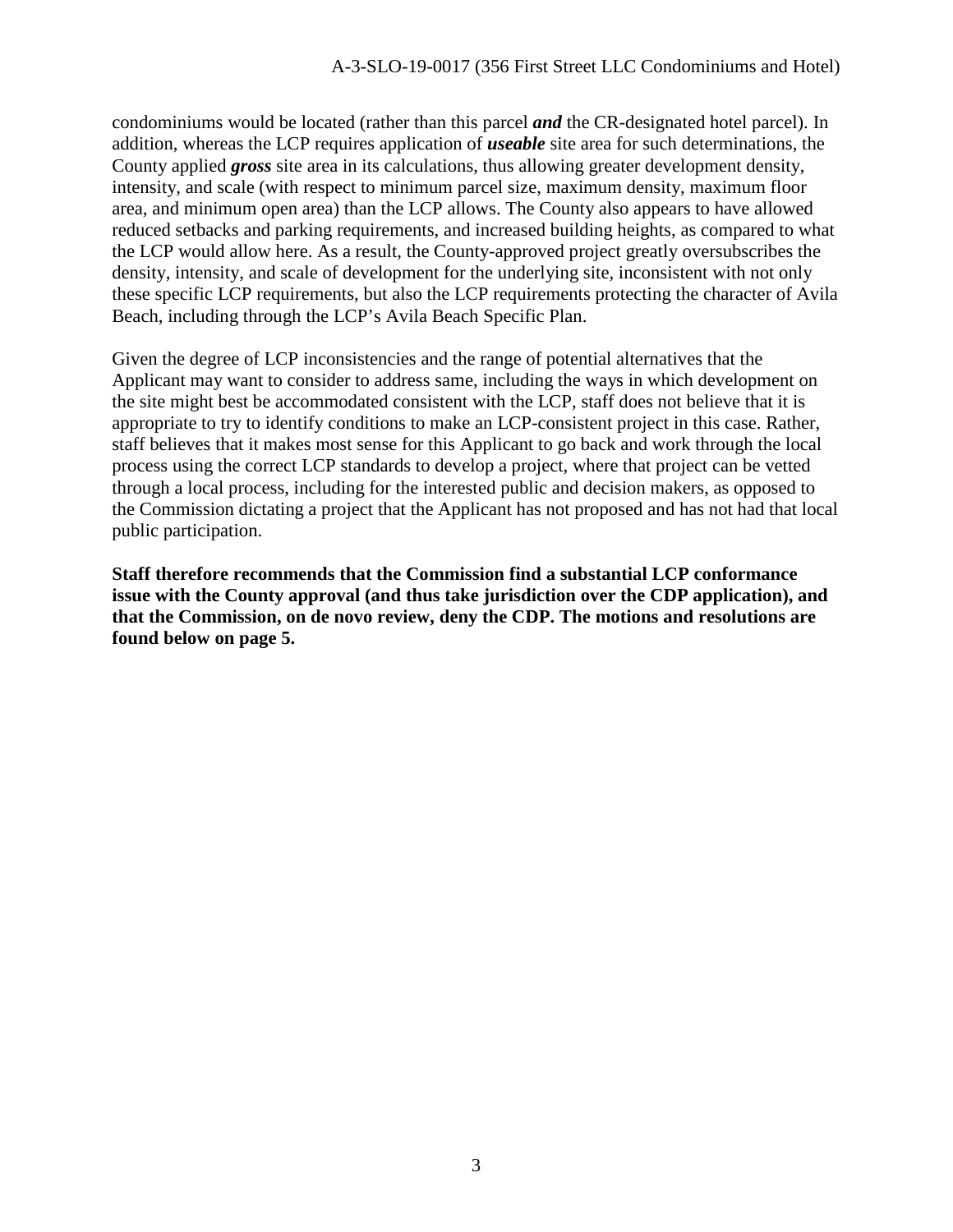condominiums would be located (rather than this parcel *and* the CR-designated hotel parcel). In addition, whereas the LCP requires application of *useable* site area for such determinations, the County applied *gross* site area in its calculations, thus allowing greater development density, intensity, and scale (with respect to minimum parcel size, maximum density, maximum floor area, and minimum open area) than the LCP allows. The County also appears to have allowed reduced setbacks and parking requirements, and increased building heights, as compared to what the LCP would allow here. As a result, the County-approved project greatly oversubscribes the density, intensity, and scale of development for the underlying site, inconsistent with not only these specific LCP requirements, but also the LCP requirements protecting the character of Avila Beach, including through the LCP's Avila Beach Specific Plan.

Given the degree of LCP inconsistencies and the range of potential alternatives that the Applicant may want to consider to address same, including the ways in which development on the site might best be accommodated consistent with the LCP, staff does not believe that it is appropriate to try to identify conditions to make an LCP-consistent project in this case. Rather, staff believes that it makes most sense for this Applicant to go back and work through the local process using the correct LCP standards to develop a project, where that project can be vetted through a local process, including for the interested public and decision makers, as opposed to the Commission dictating a project that the Applicant has not proposed and has not had that local public participation.

**Staff therefore recommends that the Commission find a substantial LCP conformance issue with the County approval (and thus take jurisdiction over the CDP application), and that the Commission, on de novo review, deny the CDP. The motions and resolutions are found below on page 5.**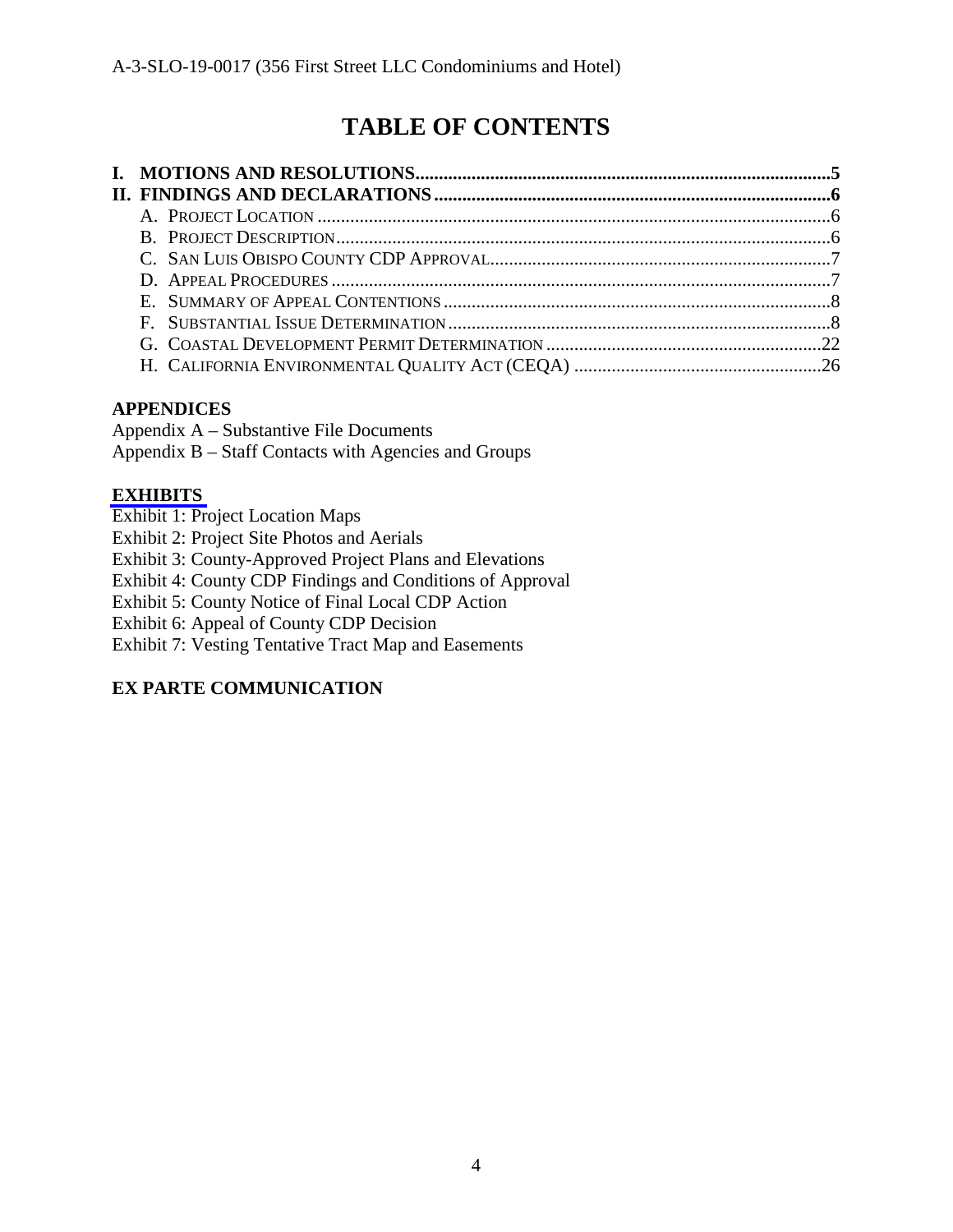# **TABLE OF CONTENTS**

## **APPENDICES**

Appendix A – Substantive File Documents

Appendix B – Staff Contacts with Agencies and Groups

## **[EXHIBITS](https://documents.coastal.ca.gov/reports/2019/5/w22b/w22b-5-2019-exhibits.pdf)**

Exhibit 1: Project Location Maps

Exhibit 2: Project Site Photos and Aerials

Exhibit 3: County-Approved Project Plans and Elevations

Exhibit 4: County CDP Findings and Conditions of Approval

Exhibit 5: County Notice of Final Local CDP Action

Exhibit 6: Appeal of County CDP Decision

Exhibit 7: Vesting Tentative Tract Map and Easements

# **EX PARTE COMMUNICATION**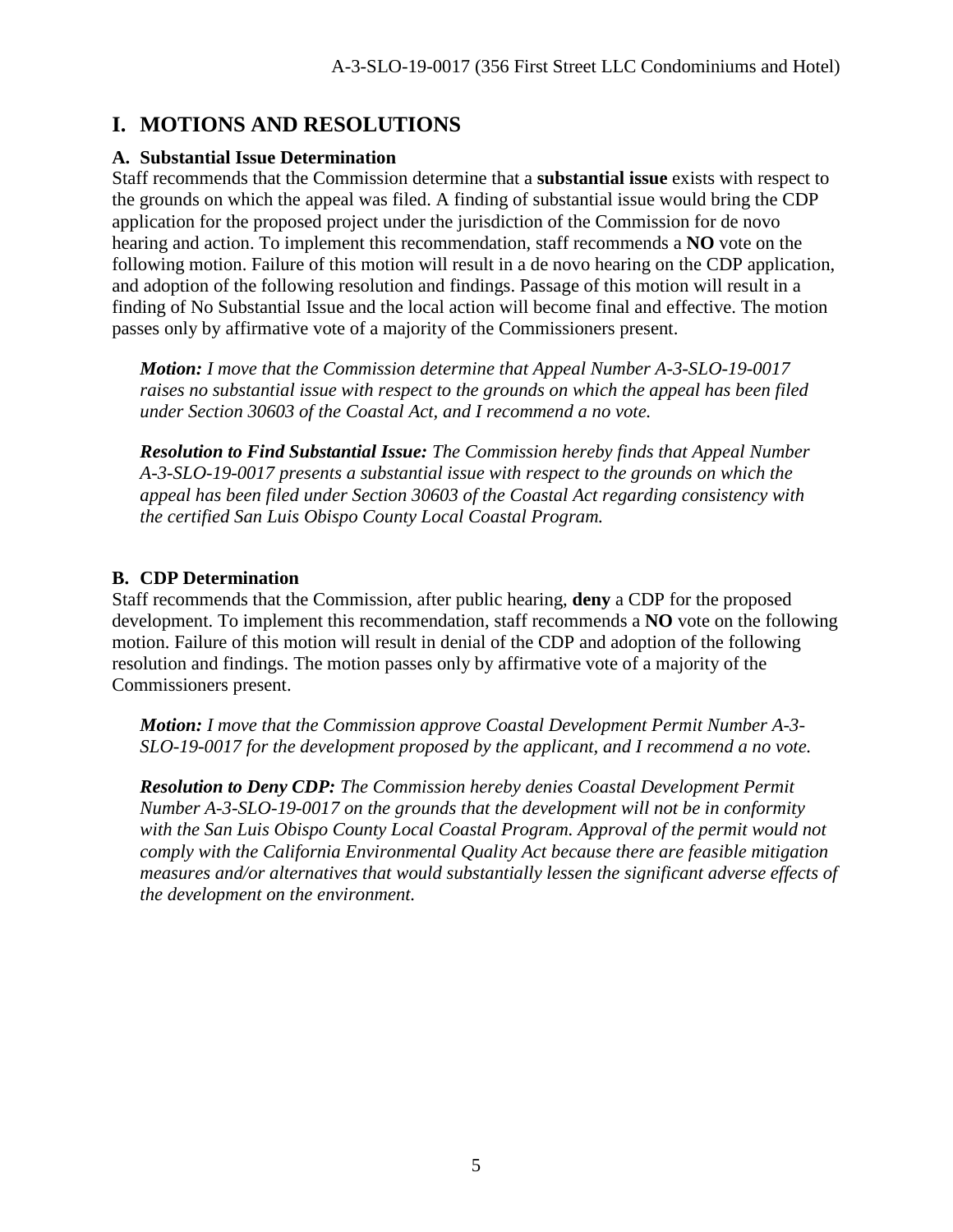# **I. MOTIONS AND RESOLUTIONS**

### **A. Substantial Issue Determination**

Staff recommends that the Commission determine that a **substantial issue** exists with respect to the grounds on which the appeal was filed. A finding of substantial issue would bring the CDP application for the proposed project under the jurisdiction of the Commission for de novo hearing and action. To implement this recommendation, staff recommends a **NO** vote on the following motion. Failure of this motion will result in a de novo hearing on the CDP application, and adoption of the following resolution and findings. Passage of this motion will result in a finding of No Substantial Issue and the local action will become final and effective. The motion passes only by affirmative vote of a majority of the Commissioners present.

*Motion: I move that the Commission determine that Appeal Number A-3-SLO-19-0017 raises no substantial issue with respect to the grounds on which the appeal has been filed under Section 30603 of the Coastal Act, and I recommend a no vote.* 

*Resolution to Find Substantial Issue: The Commission hereby finds that Appeal Number A-3-SLO-19-0017 presents a substantial issue with respect to the grounds on which the appeal has been filed under Section 30603 of the Coastal Act regarding consistency with the certified San Luis Obispo County Local Coastal Program.* 

### **B. CDP Determination**

Staff recommends that the Commission, after public hearing, **deny** a CDP for the proposed development. To implement this recommendation, staff recommends a **NO** vote on the following motion. Failure of this motion will result in denial of the CDP and adoption of the following resolution and findings. The motion passes only by affirmative vote of a majority of the Commissioners present.

*Motion: I move that the Commission approve Coastal Development Permit Number A-3- SLO-19-0017 for the development proposed by the applicant, and I recommend a no vote.* 

*Resolution to Deny CDP: The Commission hereby denies Coastal Development Permit Number A-3-SLO-19-0017 on the grounds that the development will not be in conformity*  with the San Luis Obispo County Local Coastal Program. Approval of the permit would not *comply with the California Environmental Quality Act because there are feasible mitigation measures and/or alternatives that would substantially lessen the significant adverse effects of the development on the environment.*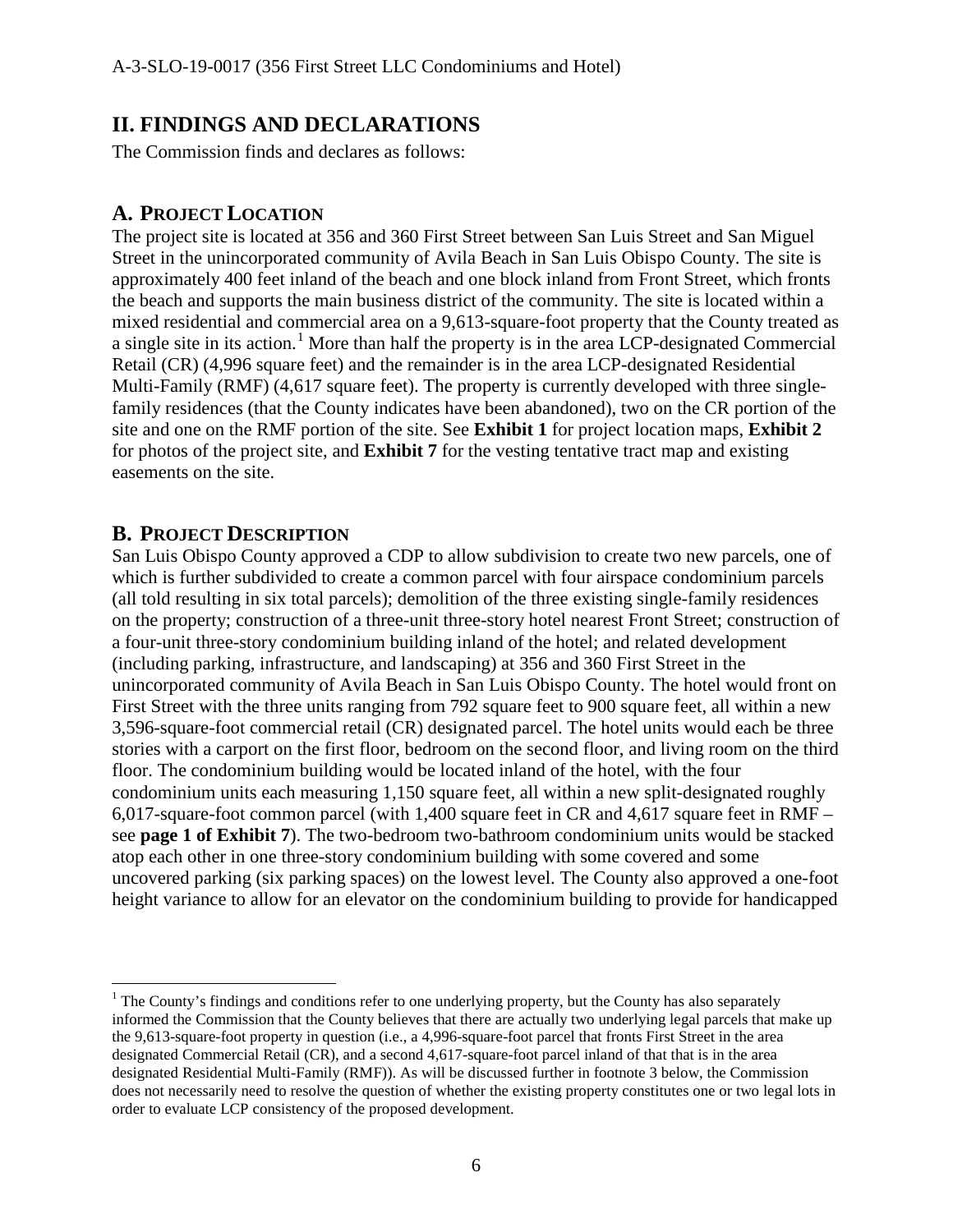# **II. FINDINGS AND DECLARATIONS**

The Commission finds and declares as follows:

## **A. PROJECT LOCATION**

The project site is located at 356 and 360 First Street between San Luis Street and San Miguel Street in the unincorporated community of Avila Beach in San Luis Obispo County. The site is approximately 400 feet inland of the beach and one block inland from Front Street, which fronts the beach and supports the main business district of the community. The site is located within a mixed residential and commercial area on a 9,613-square-foot property that the County treated as a single site in its action.<sup>[1](#page-5-0)</sup> More than half the property is in the area LCP-designated Commercial Retail (CR) (4,996 square feet) and the remainder is in the area LCP-designated Residential Multi-Family (RMF) (4,617 square feet). The property is currently developed with three singlefamily residences (that the County indicates have been abandoned), two on the CR portion of the site and one on the RMF portion of the site. See **Exhibit 1** for project location maps, **Exhibit 2**  for photos of the project site, and **Exhibit 7** for the vesting tentative tract map and existing easements on the site.

### **B. PROJECT DESCRIPTION**

 $\overline{a}$ 

San Luis Obispo County approved a CDP to allow subdivision to create two new parcels, one of which is further subdivided to create a common parcel with four airspace condominium parcels (all told resulting in six total parcels); demolition of the three existing single-family residences on the property; construction of a three-unit three-story hotel nearest Front Street; construction of a four-unit three-story condominium building inland of the hotel; and related development (including parking, infrastructure, and landscaping) at 356 and 360 First Street in the unincorporated community of Avila Beach in San Luis Obispo County. The hotel would front on First Street with the three units ranging from 792 square feet to 900 square feet, all within a new 3,596-square-foot commercial retail (CR) designated parcel. The hotel units would each be three stories with a carport on the first floor, bedroom on the second floor, and living room on the third floor. The condominium building would be located inland of the hotel, with the four condominium units each measuring 1,150 square feet, all within a new split-designated roughly 6,017-square-foot common parcel (with 1,400 square feet in CR and 4,617 square feet in RMF – see **page 1 of Exhibit 7**). The two-bedroom two-bathroom condominium units would be stacked atop each other in one three-story condominium building with some covered and some uncovered parking (six parking spaces) on the lowest level. The County also approved a one-foot height variance to allow for an elevator on the condominium building to provide for handicapped

<span id="page-5-0"></span> $<sup>1</sup>$  The County's findings and conditions refer to one underlying property, but the County has also separately</sup> informed the Commission that the County believes that there are actually two underlying legal parcels that make up the 9,613-square-foot property in question (i.e., a 4,996-square-foot parcel that fronts First Street in the area designated Commercial Retail (CR), and a second 4,617-square-foot parcel inland of that that is in the area designated Residential Multi-Family (RMF)). As will be discussed further in footnote 3 below, the Commission does not necessarily need to resolve the question of whether the existing property constitutes one or two legal lots in order to evaluate LCP consistency of the proposed development.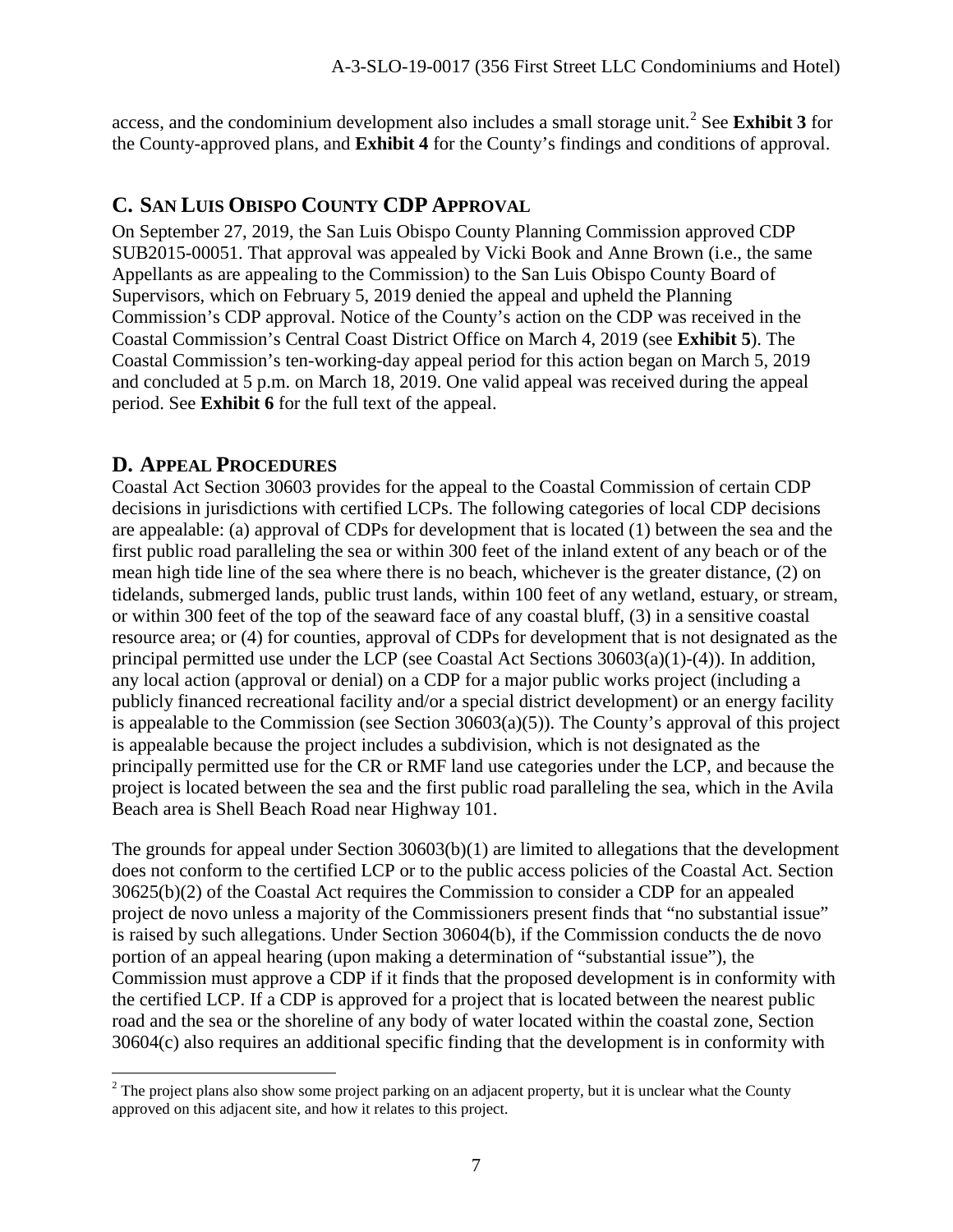access, and the condominium development also includes a small storage unit.[2](#page-6-0) See **Exhibit 3** for the County-approved plans, and **Exhibit 4** for the County's findings and conditions of approval.

# **C. SAN LUIS OBISPO COUNTY CDP APPROVAL**

On September 27, 2019, the San Luis Obispo County Planning Commission approved CDP SUB2015-00051. That approval was appealed by Vicki Book and Anne Brown (i.e., the same Appellants as are appealing to the Commission) to the San Luis Obispo County Board of Supervisors, which on February 5, 2019 denied the appeal and upheld the Planning Commission's CDP approval. Notice of the County's action on the CDP was received in the Coastal Commission's Central Coast District Office on March 4, 2019 (see **Exhibit 5**). The Coastal Commission's ten-working-day appeal period for this action began on March 5, 2019 and concluded at 5 p.m. on March 18, 2019. One valid appeal was received during the appeal period. See **Exhibit 6** for the full text of the appeal.

## **D. APPEAL PROCEDURES**

Coastal Act Section 30603 provides for the appeal to the Coastal Commission of certain CDP decisions in jurisdictions with certified LCPs. The following categories of local CDP decisions are appealable: (a) approval of CDPs for development that is located (1) between the sea and the first public road paralleling the sea or within 300 feet of the inland extent of any beach or of the mean high tide line of the sea where there is no beach, whichever is the greater distance, (2) on tidelands, submerged lands, public trust lands, within 100 feet of any wetland, estuary, or stream, or within 300 feet of the top of the seaward face of any coastal bluff, (3) in a sensitive coastal resource area; or (4) for counties, approval of CDPs for development that is not designated as the principal permitted use under the LCP (see Coastal Act Sections 30603(a)(1)-(4)). In addition, any local action (approval or denial) on a CDP for a major public works project (including a publicly financed recreational facility and/or a special district development) or an energy facility is appealable to the Commission (see Section 30603(a)(5)). The County's approval of this project is appealable because the project includes a subdivision, which is not designated as the principally permitted use for the CR or RMF land use categories under the LCP, and because the project is located between the sea and the first public road paralleling the sea, which in the Avila Beach area is Shell Beach Road near Highway 101.

The grounds for appeal under Section 30603(b)(1) are limited to allegations that the development does not conform to the certified LCP or to the public access policies of the Coastal Act. Section 30625(b)(2) of the Coastal Act requires the Commission to consider a CDP for an appealed project de novo unless a majority of the Commissioners present finds that "no substantial issue" is raised by such allegations. Under Section 30604(b), if the Commission conducts the de novo portion of an appeal hearing (upon making a determination of "substantial issue"), the Commission must approve a CDP if it finds that the proposed development is in conformity with the certified LCP. If a CDP is approved for a project that is located between the nearest public road and the sea or the shoreline of any body of water located within the coastal zone, Section 30604(c) also requires an additional specific finding that the development is in conformity with

<span id="page-6-0"></span> $\overline{a}$  $2$  The project plans also show some project parking on an adjacent property, but it is unclear what the County approved on this adjacent site, and how it relates to this project.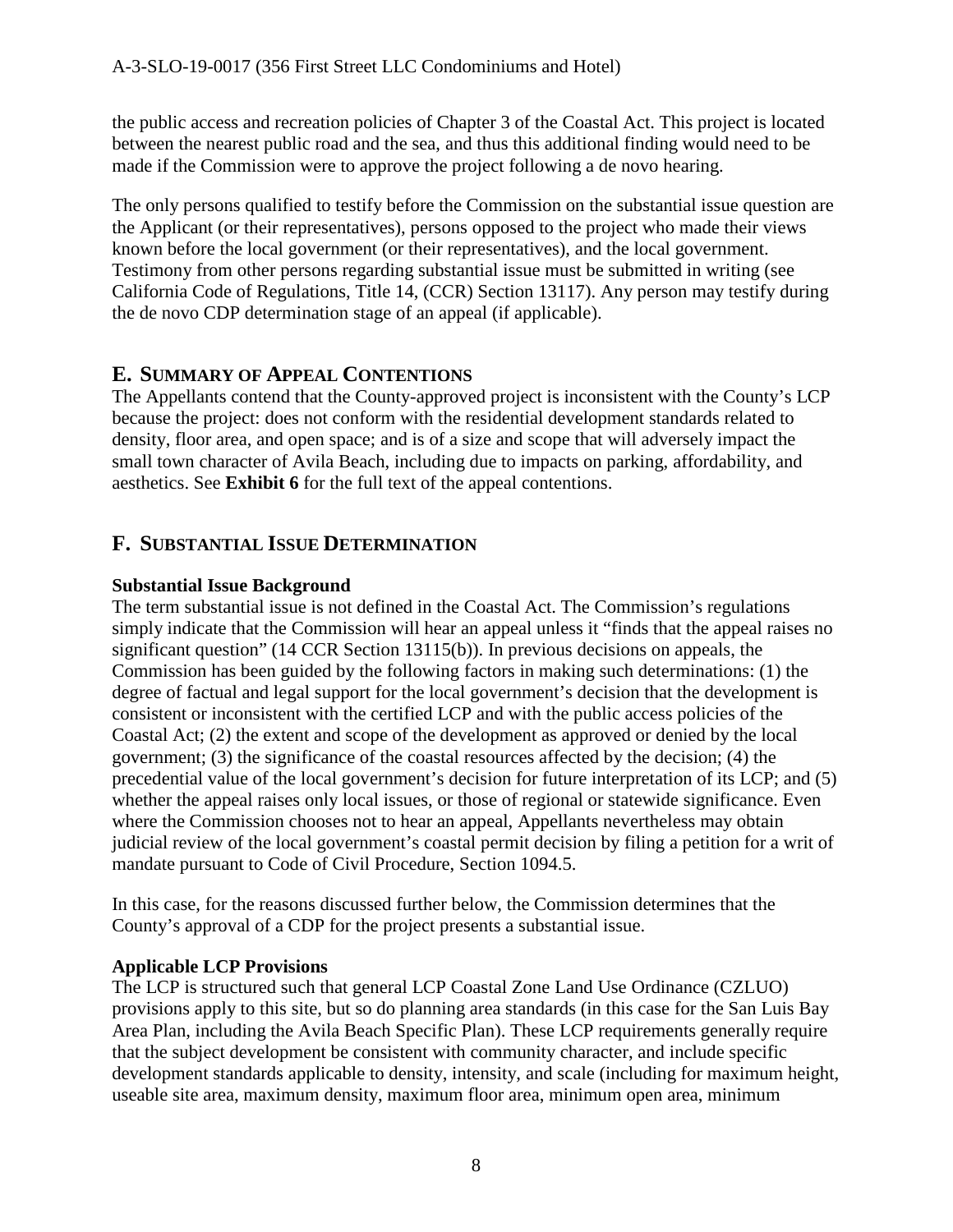the public access and recreation policies of Chapter 3 of the Coastal Act. This project is located between the nearest public road and the sea, and thus this additional finding would need to be made if the Commission were to approve the project following a de novo hearing.

The only persons qualified to testify before the Commission on the substantial issue question are the Applicant (or their representatives), persons opposed to the project who made their views known before the local government (or their representatives), and the local government. Testimony from other persons regarding substantial issue must be submitted in writing (see California Code of Regulations, Title 14, (CCR) Section 13117). Any person may testify during the de novo CDP determination stage of an appeal (if applicable).

# **E. SUMMARY OF APPEAL CONTENTIONS**

The Appellants contend that the County-approved project is inconsistent with the County's LCP because the project: does not conform with the residential development standards related to density, floor area, and open space; and is of a size and scope that will adversely impact the small town character of Avila Beach, including due to impacts on parking, affordability, and aesthetics. See **Exhibit 6** for the full text of the appeal contentions.

# **F. SUBSTANTIAL ISSUE DETERMINATION**

### **Substantial Issue Background**

The term substantial issue is not defined in the Coastal Act. The Commission's regulations simply indicate that the Commission will hear an appeal unless it "finds that the appeal raises no significant question" (14 CCR Section 13115(b)). In previous decisions on appeals, the Commission has been guided by the following factors in making such determinations: (1) the degree of factual and legal support for the local government's decision that the development is consistent or inconsistent with the certified LCP and with the public access policies of the Coastal Act; (2) the extent and scope of the development as approved or denied by the local government; (3) the significance of the coastal resources affected by the decision; (4) the precedential value of the local government's decision for future interpretation of its LCP; and (5) whether the appeal raises only local issues, or those of regional or statewide significance. Even where the Commission chooses not to hear an appeal, Appellants nevertheless may obtain judicial review of the local government's coastal permit decision by filing a petition for a writ of mandate pursuant to Code of Civil Procedure, Section 1094.5.

In this case, for the reasons discussed further below, the Commission determines that the County's approval of a CDP for the project presents a substantial issue.

## **Applicable LCP Provisions**

The LCP is structured such that general LCP Coastal Zone Land Use Ordinance (CZLUO) provisions apply to this site, but so do planning area standards (in this case for the San Luis Bay Area Plan, including the Avila Beach Specific Plan). These LCP requirements generally require that the subject development be consistent with community character, and include specific development standards applicable to density, intensity, and scale (including for maximum height, useable site area, maximum density, maximum floor area, minimum open area, minimum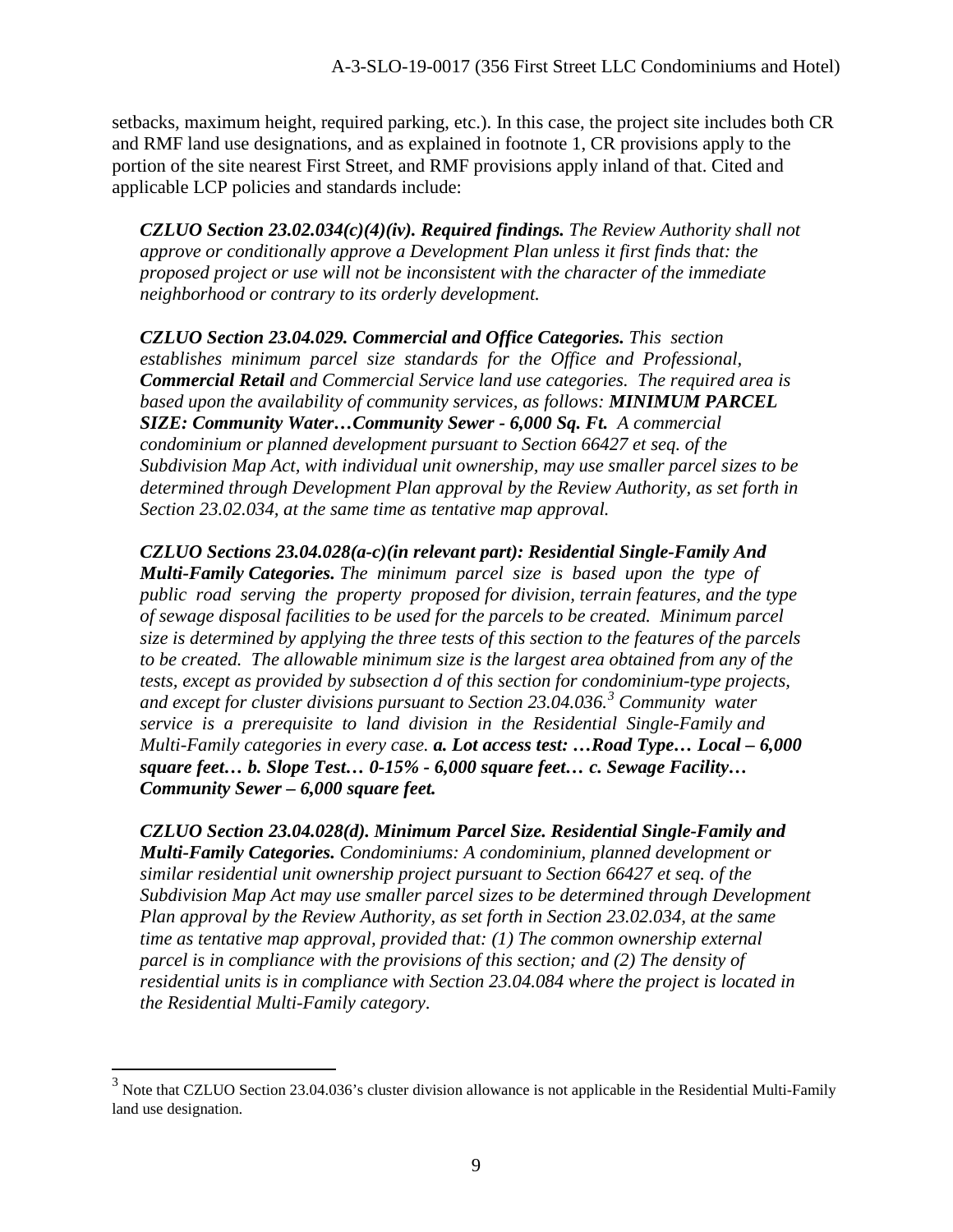setbacks, maximum height, required parking, etc.). In this case, the project site includes both CR and RMF land use designations, and as explained in footnote 1, CR provisions apply to the portion of the site nearest First Street, and RMF provisions apply inland of that. Cited and applicable LCP policies and standards include:

*CZLUO Section 23.02.034(c)(4)(iv). Required findings. The Review Authority shall not approve or conditionally approve a Development Plan unless it first finds that: the proposed project or use will not be inconsistent with the character of the immediate neighborhood or contrary to its orderly development.* 

*CZLUO Section 23.04.029. Commercial and Office Categories. This section establishes minimum parcel size standards for the Office and Professional, Commercial Retail and Commercial Service land use categories. The required area is based upon the availability of community services, as follows: MINIMUM PARCEL SIZE: Community Water…Community Sewer - 6,000 Sq. Ft. A commercial condominium or planned development pursuant to Section 66427 et seq. of the Subdivision Map Act, with individual unit ownership, may use smaller parcel sizes to be determined through Development Plan approval by the Review Authority, as set forth in Section 23.02.034, at the same time as tentative map approval.* 

*CZLUO Sections 23.04.028(a-c)(in relevant part): Residential Single-Family And Multi-Family Categories. The minimum parcel size is based upon the type of public road serving the property proposed for division, terrain features, and the type of sewage disposal facilities to be used for the parcels to be created. Minimum parcel size is determined by applying the three tests of this section to the features of the parcels to be created. The allowable minimum size is the largest area obtained from any of the tests, except as provided by subsection d of this section for condominium-type projects, and except for cluster divisions pursuant to Section 23.04.036.[3](#page-8-0) Community water service is a prerequisite to land division in the Residential Single-Family and Multi-Family categories in every case. a. Lot access test: …Road Type… Local – 6,000 square feet… b. Slope Test… 0-15% - 6,000 square feet… c. Sewage Facility… Community Sewer – 6,000 square feet.*

*CZLUO Section 23.04.028(d). Minimum Parcel Size. Residential Single-Family and Multi-Family Categories. Condominiums: A condominium, planned development or similar residential unit ownership project pursuant to Section 66427 et seq. of the Subdivision Map Act may use smaller parcel sizes to be determined through Development Plan approval by the Review Authority, as set forth in Section 23.02.034, at the same time as tentative map approval, provided that: (1) The common ownership external parcel is in compliance with the provisions of this section; and (2) The density of residential units is in compliance with Section 23.04.084 where the project is located in the Residential Multi-Family category*.

 $\overline{a}$ 

<span id="page-8-0"></span> $3$  Note that CZLUO Section 23.04.036's cluster division allowance is not applicable in the Residential Multi-Family land use designation.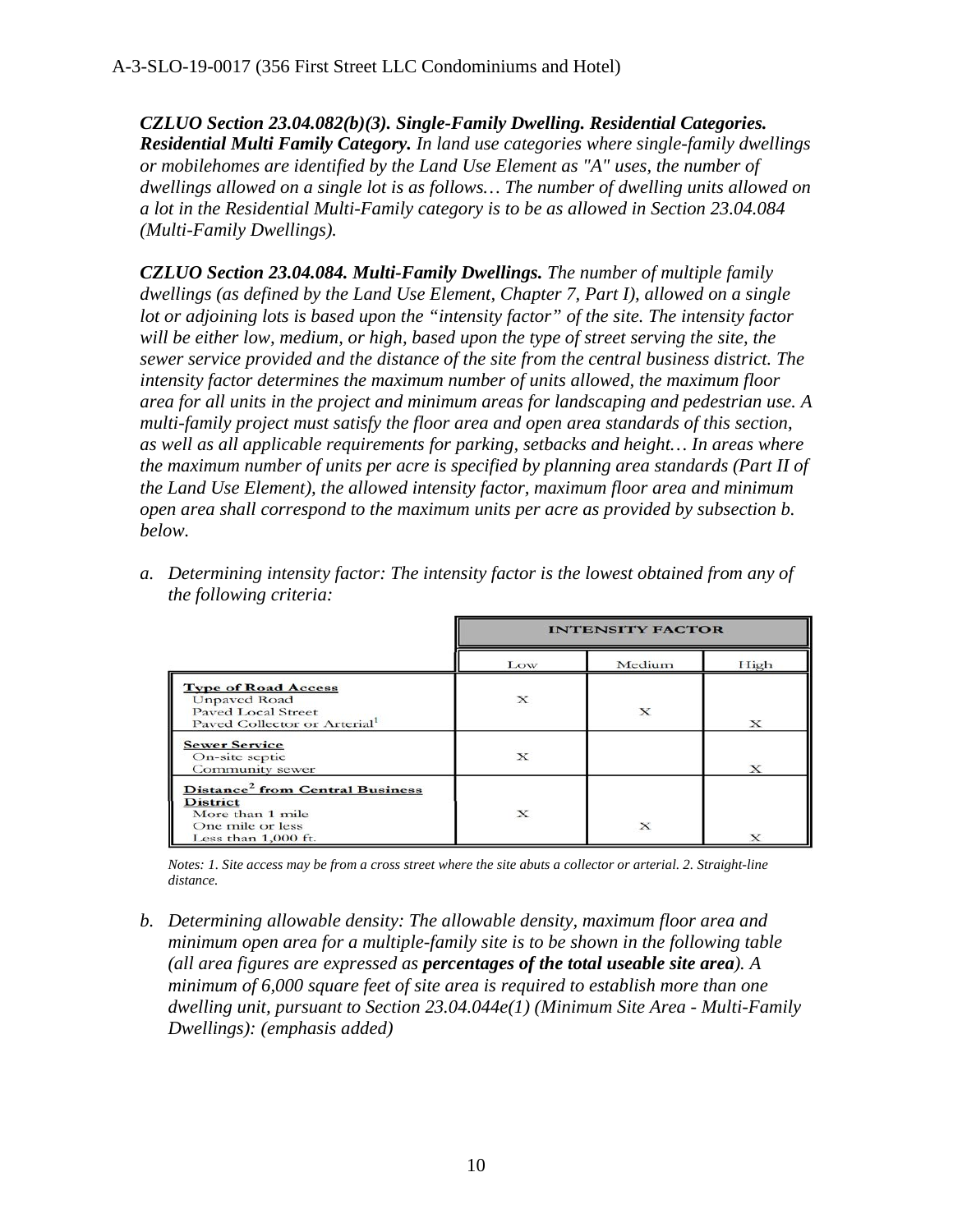*CZLUO Section 23.04.082(b)(3). Single-Family Dwelling. Residential Categories. Residential Multi Family Category. In land use categories where single-family dwellings or mobilehomes are identified by the Land Use Element as "A" uses, the number of dwellings allowed on a single lot is as follows… The number of dwelling units allowed on a lot in the Residential Multi-Family category is to be as allowed in Section 23.04.084 (Multi-Family Dwellings).*

*CZLUO Section 23.04.084. Multi-Family Dwellings. The number of multiple family dwellings (as defined by the Land Use Element, Chapter 7, Part I), allowed on a single lot or adjoining lots is based upon the "intensity factor" of the site. The intensity factor will be either low, medium, or high, based upon the type of street serving the site, the sewer service provided and the distance of the site from the central business district. The intensity factor determines the maximum number of units allowed, the maximum floor area for all units in the project and minimum areas for landscaping and pedestrian use. A multi-family project must satisfy the floor area and open area standards of this section, as well as all applicable requirements for parking, setbacks and height… In areas where the maximum number of units per acre is specified by planning area standards (Part II of the Land Use Element), the allowed intensity factor, maximum floor area and minimum open area shall correspond to the maximum units per acre as provided by subsection b. below.* 

|                                                                                                                               | <b>INTENSITY FACTOR</b> |          |          |
|-------------------------------------------------------------------------------------------------------------------------------|-------------------------|----------|----------|
|                                                                                                                               | Low                     | Medium   | High     |
| <b>Type of Road Access</b><br><b>Unpayed Road</b><br><b>Paved Local Street</b><br>Paved Collector or Arterial <sup>1</sup>    | X                       | x        | X        |
| <b>Sewer Service</b><br>On-site septic<br>Community sewer                                                                     | X                       |          | $\bf{x}$ |
| Distance <sup>2</sup> from Central Business<br><b>District</b><br>More than 1 mile<br>One mile or less<br>Less than 1,000 ft. | X                       | $\bf{x}$ | x        |

*a. Determining intensity factor: The intensity factor is the lowest obtained from any of the following criteria:*

*Notes: 1. Site access may be from a cross street where the site abuts a collector or arterial. 2. Straight-line distance.*

*b. Determining allowable density: The allowable density, maximum floor area and minimum open area for a multiple-family site is to be shown in the following table (all area figures are expressed as percentages of the total useable site area). A minimum of 6,000 square feet of site area is required to establish more than one dwelling unit, pursuant to Section 23.04.044e(1) (Minimum Site Area - Multi-Family Dwellings): (emphasis added)*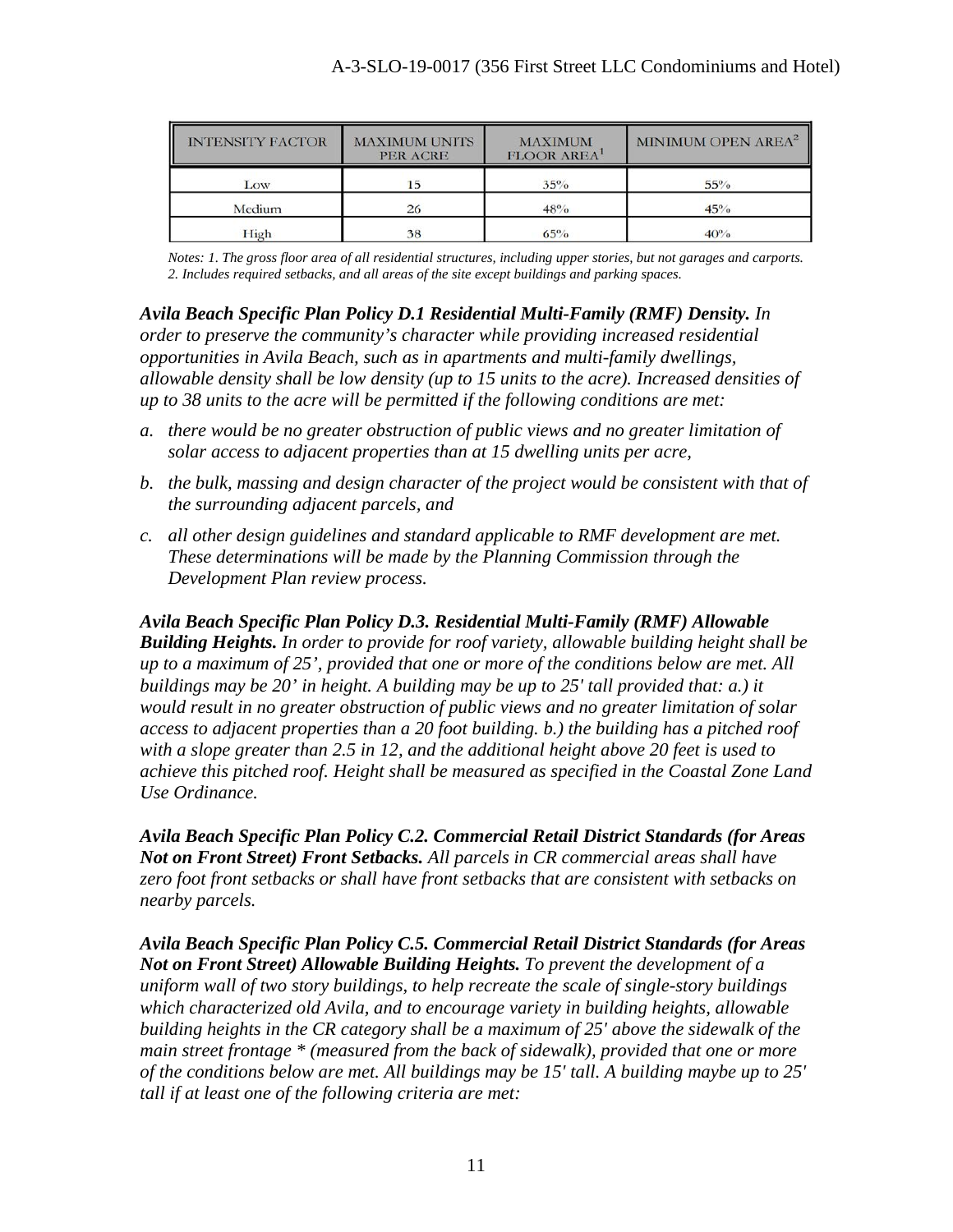| <b>INTENSITY FACTOR</b> | <b>MAXIMUM UNITS</b><br><b>PER ACRE</b> | <b>MAXIMUM</b><br><b>FLOOR AREA</b> | MINIMUM OPEN AREA <sup>2</sup> |
|-------------------------|-----------------------------------------|-------------------------------------|--------------------------------|
| Low                     | 15                                      | $35\%$                              | $55\%$                         |
| Medium                  | 26                                      | $48\%$                              | 45%                            |
| High                    | 38                                      | $65\%$                              | $40\%$                         |

*Notes: 1. The gross floor area of all residential structures, including upper stories, but not garages and carports. 2. Includes required setbacks, and all areas of the site except buildings and parking spaces.*

*Avila Beach Specific Plan Policy D.1 Residential Multi-Family (RMF) Density. In* 

*order to preserve the community's character while providing increased residential opportunities in Avila Beach, such as in apartments and multi-family dwellings, allowable density shall be low density (up to 15 units to the acre). Increased densities of up to 38 units to the acre will be permitted if the following conditions are met:* 

- *a. there would be no greater obstruction of public views and no greater limitation of solar access to adjacent properties than at 15 dwelling units per acre,*
- *b. the bulk, massing and design character of the project would be consistent with that of the surrounding adjacent parcels, and*
- *c. all other design guidelines and standard applicable to RMF development are met. These determinations will be made by the Planning Commission through the Development Plan review process.*

*Avila Beach Specific Plan Policy D.3. Residential Multi-Family (RMF) Allowable Building Heights. In order to provide for roof variety, allowable building height shall be up to a maximum of 25', provided that one or more of the conditions below are met. All buildings may be 20' in height. A building may be up to 25' tall provided that: a.) it would result in no greater obstruction of public views and no greater limitation of solar access to adjacent properties than a 20 foot building. b.) the building has a pitched roof with a slope greater than 2.5 in 12, and the additional height above 20 feet is used to achieve this pitched roof. Height shall be measured as specified in the Coastal Zone Land Use Ordinance.* 

*Avila Beach Specific Plan Policy C.2. Commercial Retail District Standards (for Areas Not on Front Street) Front Setbacks. All parcels in CR commercial areas shall have zero foot front setbacks or shall have front setbacks that are consistent with setbacks on nearby parcels.*

*Avila Beach Specific Plan Policy C.5. Commercial Retail District Standards (for Areas Not on Front Street) Allowable Building Heights. To prevent the development of a uniform wall of two story buildings, to help recreate the scale of single-story buildings which characterized old Avila, and to encourage variety in building heights, allowable building heights in the CR category shall be a maximum of 25' above the sidewalk of the main street frontage \* (measured from the back of sidewalk), provided that one or more of the conditions below are met. All buildings may be 15' tall. A building maybe up to 25' tall if at least one of the following criteria are met:*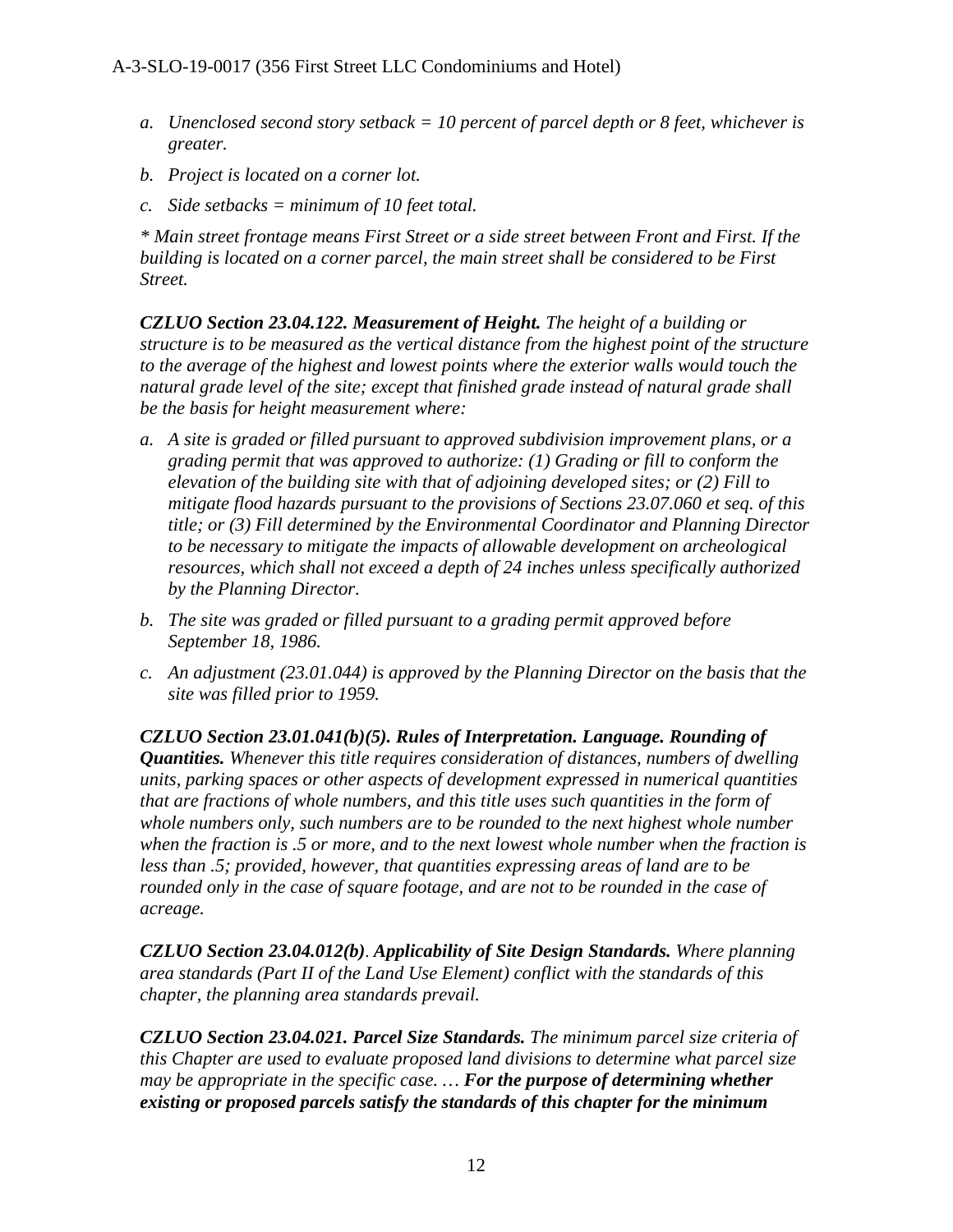- *a. Unenclosed second story setback = 10 percent of parcel depth or 8 feet, whichever is greater.*
- *b. Project is located on a corner lot.*
- *c. Side setbacks = minimum of 10 feet total.*

*\* Main street frontage means First Street or a side street between Front and First. If the building is located on a corner parcel, the main street shall be considered to be First Street.*

*CZLUO Section 23.04.122. Measurement of Height. The height of a building or structure is to be measured as the vertical distance from the highest point of the structure to the average of the highest and lowest points where the exterior walls would touch the natural grade level of the site; except that finished grade instead of natural grade shall be the basis for height measurement where:* 

- *a. A site is graded or filled pursuant to approved subdivision improvement plans, or a grading permit that was approved to authorize: (1) Grading or fill to conform the elevation of the building site with that of adjoining developed sites; or (2) Fill to mitigate flood hazards pursuant to the provisions of Sections 23.07.060 et seq. of this title; or (3) Fill determined by the Environmental Coordinator and Planning Director to be necessary to mitigate the impacts of allowable development on archeological resources, which shall not exceed a depth of 24 inches unless specifically authorized by the Planning Director.*
- *b. The site was graded or filled pursuant to a grading permit approved before September 18, 1986.*
- *c. An adjustment (23.01.044) is approved by the Planning Director on the basis that the site was filled prior to 1959.*

*CZLUO Section 23.01.041(b)(5). Rules of Interpretation. Language. Rounding of Quantities. Whenever this title requires consideration of distances, numbers of dwelling units, parking spaces or other aspects of development expressed in numerical quantities that are fractions of whole numbers, and this title uses such quantities in the form of whole numbers only, such numbers are to be rounded to the next highest whole number when the fraction is .5 or more, and to the next lowest whole number when the fraction is less than .5; provided, however, that quantities expressing areas of land are to be rounded only in the case of square footage, and are not to be rounded in the case of acreage.*

*CZLUO Section 23.04.012(b)*. *Applicability of Site Design Standards. Where planning area standards (Part II of the Land Use Element) conflict with the standards of this chapter, the planning area standards prevail.* 

*CZLUO Section 23.04.021. Parcel Size Standards. The minimum parcel size criteria of this Chapter are used to evaluate proposed land divisions to determine what parcel size may be appropriate in the specific case. … For the purpose of determining whether existing or proposed parcels satisfy the standards of this chapter for the minimum*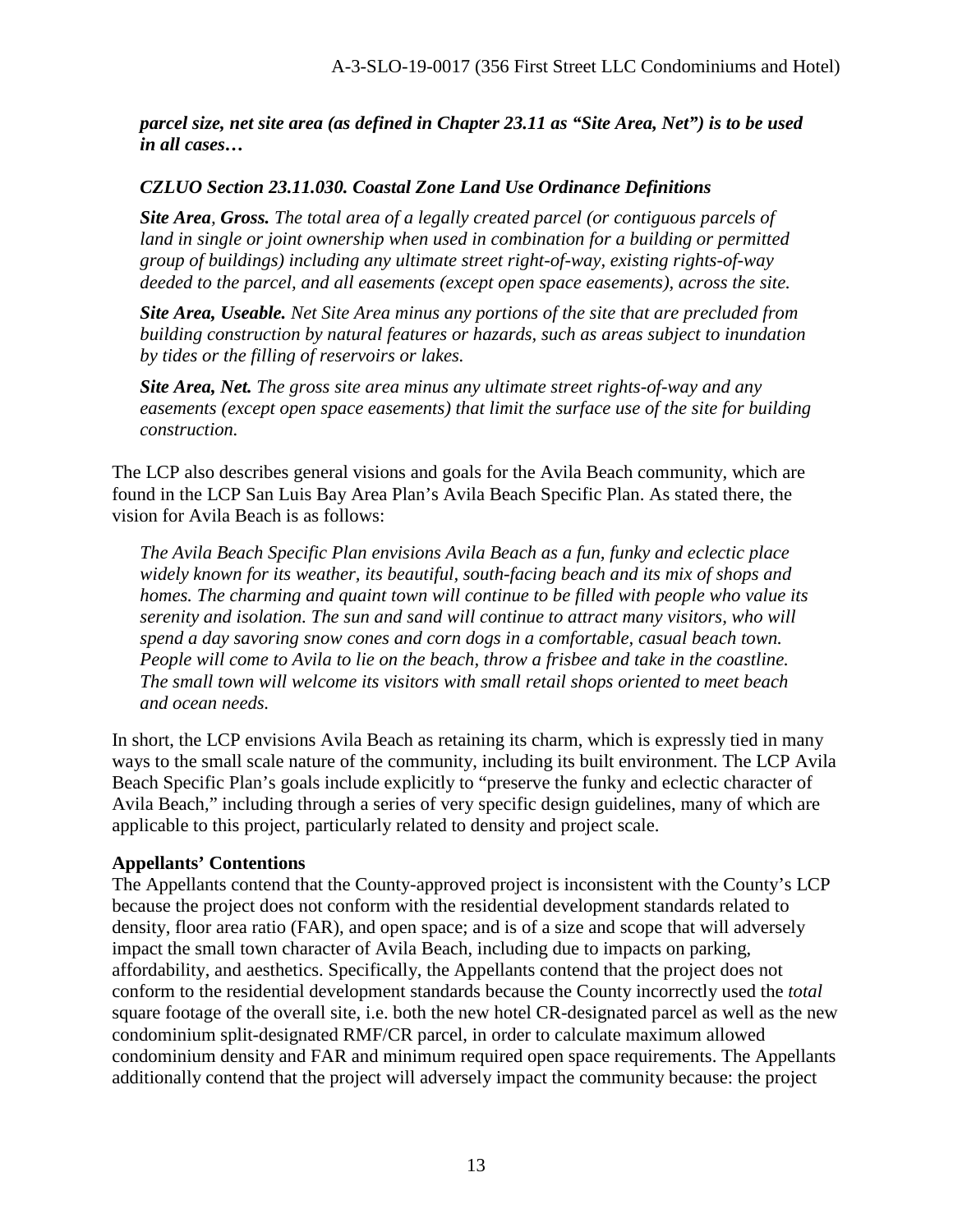*parcel size, net site area (as defined in Chapter 23.11 as "Site Area, Net") is to be used in all cases…*

### *CZLUO Section 23.11.030. Coastal Zone Land Use Ordinance Definitions*

*Site Area, Gross. The total area of a legally created parcel (or contiguous parcels of land in single or joint ownership when used in combination for a building or permitted group of buildings) including any ultimate street right-of-way, existing rights-of-way deeded to the parcel, and all easements (except open space easements), across the site.* 

*Site Area, Useable. Net Site Area minus any portions of the site that are precluded from building construction by natural features or hazards, such as areas subject to inundation by tides or the filling of reservoirs or lakes.* 

*Site Area, Net. The gross site area minus any ultimate street rights-of-way and any easements (except open space easements) that limit the surface use of the site for building construction.* 

The LCP also describes general visions and goals for the Avila Beach community, which are found in the LCP San Luis Bay Area Plan's Avila Beach Specific Plan. As stated there, the vision for Avila Beach is as follows:

*The Avila Beach Specific Plan envisions Avila Beach as a fun, funky and eclectic place widely known for its weather, its beautiful, south-facing beach and its mix of shops and homes. The charming and quaint town will continue to be filled with people who value its serenity and isolation. The sun and sand will continue to attract many visitors, who will spend a day savoring snow cones and corn dogs in a comfortable, casual beach town. People will come to Avila to lie on the beach, throw a frisbee and take in the coastline. The small town will welcome its visitors with small retail shops oriented to meet beach and ocean needs.* 

In short, the LCP envisions Avila Beach as retaining its charm, which is expressly tied in many ways to the small scale nature of the community, including its built environment. The LCP Avila Beach Specific Plan's goals include explicitly to "preserve the funky and eclectic character of Avila Beach," including through a series of very specific design guidelines, many of which are applicable to this project, particularly related to density and project scale.

#### **Appellants' Contentions**

The Appellants contend that the County-approved project is inconsistent with the County's LCP because the project does not conform with the residential development standards related to density, floor area ratio (FAR), and open space; and is of a size and scope that will adversely impact the small town character of Avila Beach, including due to impacts on parking, affordability, and aesthetics. Specifically, the Appellants contend that the project does not conform to the residential development standards because the County incorrectly used the *total* square footage of the overall site, i.e. both the new hotel CR-designated parcel as well as the new condominium split-designated RMF/CR parcel, in order to calculate maximum allowed condominium density and FAR and minimum required open space requirements. The Appellants additionally contend that the project will adversely impact the community because: the project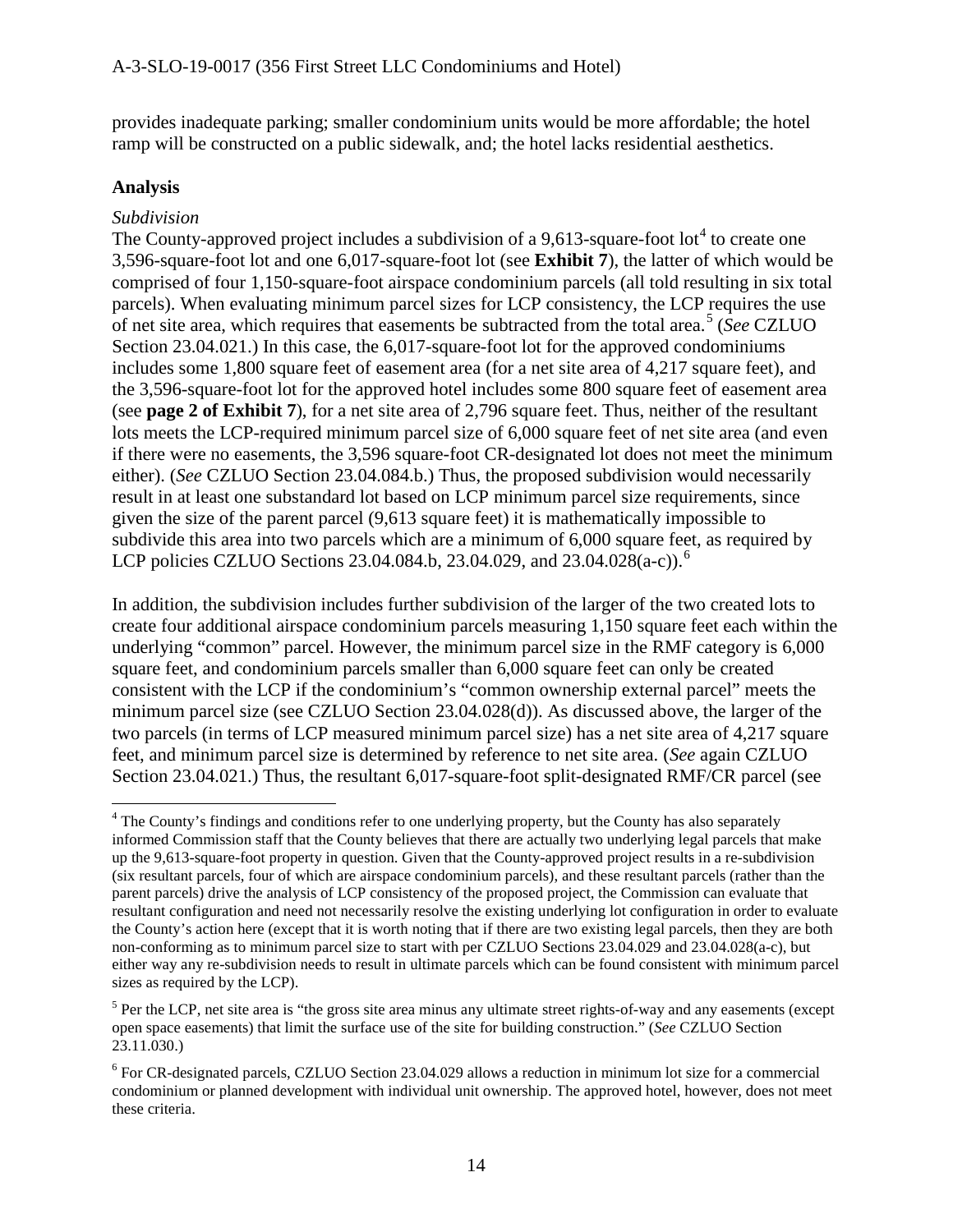provides inadequate parking; smaller condominium units would be more affordable; the hotel ramp will be constructed on a public sidewalk, and; the hotel lacks residential aesthetics.

#### **Analysis**

 $\overline{a}$ 

#### *Subdivision*

The County-approved project includes a subdivision of a 9,613-square-foot lot<sup>[4](#page-13-0)</sup> to create one 3,596-square-foot lot and one 6,017-square-foot lot (see **Exhibit 7**), the latter of which would be comprised of four 1,150-square-foot airspace condominium parcels (all told resulting in six total parcels). When evaluating minimum parcel sizes for LCP consistency, the LCP requires the use of net site area, which requires that easements be subtracted from the total area.[5](#page-13-1) (*See* CZLUO Section 23.04.021.) In this case, the 6,017-square-foot lot for the approved condominiums includes some 1,800 square feet of easement area (for a net site area of 4,217 square feet), and the 3,596-square-foot lot for the approved hotel includes some 800 square feet of easement area (see **page 2 of Exhibit 7**), for a net site area of 2,796 square feet. Thus, neither of the resultant lots meets the LCP-required minimum parcel size of 6,000 square feet of net site area (and even if there were no easements, the 3,596 square-foot CR-designated lot does not meet the minimum either). (*See* CZLUO Section 23.04.084.b.) Thus, the proposed subdivision would necessarily result in at least one substandard lot based on LCP minimum parcel size requirements, since given the size of the parent parcel (9,613 square feet) it is mathematically impossible to subdivide this area into two parcels which are a minimum of 6,000 square feet, as required by LCP policies CZLUO Sections 23.04.084.b, 23.04.029, and 23.04.028(a-c)).<sup>[6](#page-13-2)</sup>

In addition, the subdivision includes further subdivision of the larger of the two created lots to create four additional airspace condominium parcels measuring 1,150 square feet each within the underlying "common" parcel. However, the minimum parcel size in the RMF category is 6,000 square feet, and condominium parcels smaller than 6,000 square feet can only be created consistent with the LCP if the condominium's "common ownership external parcel" meets the minimum parcel size (see CZLUO Section 23.04.028(d)). As discussed above, the larger of the two parcels (in terms of LCP measured minimum parcel size) has a net site area of 4,217 square feet, and minimum parcel size is determined by reference to net site area. (*See* again CZLUO Section 23.04.021.) Thus, the resultant 6,017-square-foot split-designated RMF/CR parcel (see

<span id="page-13-0"></span><sup>&</sup>lt;sup>4</sup> The County's findings and conditions refer to one underlying property, but the County has also separately informed Commission staff that the County believes that there are actually two underlying legal parcels that make up the 9,613-square-foot property in question. Given that the County-approved project results in a re-subdivision (six resultant parcels, four of which are airspace condominium parcels), and these resultant parcels (rather than the parent parcels) drive the analysis of LCP consistency of the proposed project, the Commission can evaluate that resultant configuration and need not necessarily resolve the existing underlying lot configuration in order to evaluate the County's action here (except that it is worth noting that if there are two existing legal parcels, then they are both non-conforming as to minimum parcel size to start with per CZLUO Sections 23.04.029 and 23.04.028(a-c), but either way any re-subdivision needs to result in ultimate parcels which can be found consistent with minimum parcel sizes as required by the LCP).

<span id="page-13-1"></span><sup>&</sup>lt;sup>5</sup> Per the LCP, net site area is "the gross site area minus any ultimate street rights-of-way and any easements (except open space easements) that limit the surface use of the site for building construction." (*See* CZLUO Section 23.11.030.)

<span id="page-13-2"></span><sup>6</sup> For CR-designated parcels, CZLUO Section 23.04.029 allows a reduction in minimum lot size for a commercial condominium or planned development with individual unit ownership. The approved hotel, however, does not meet these criteria.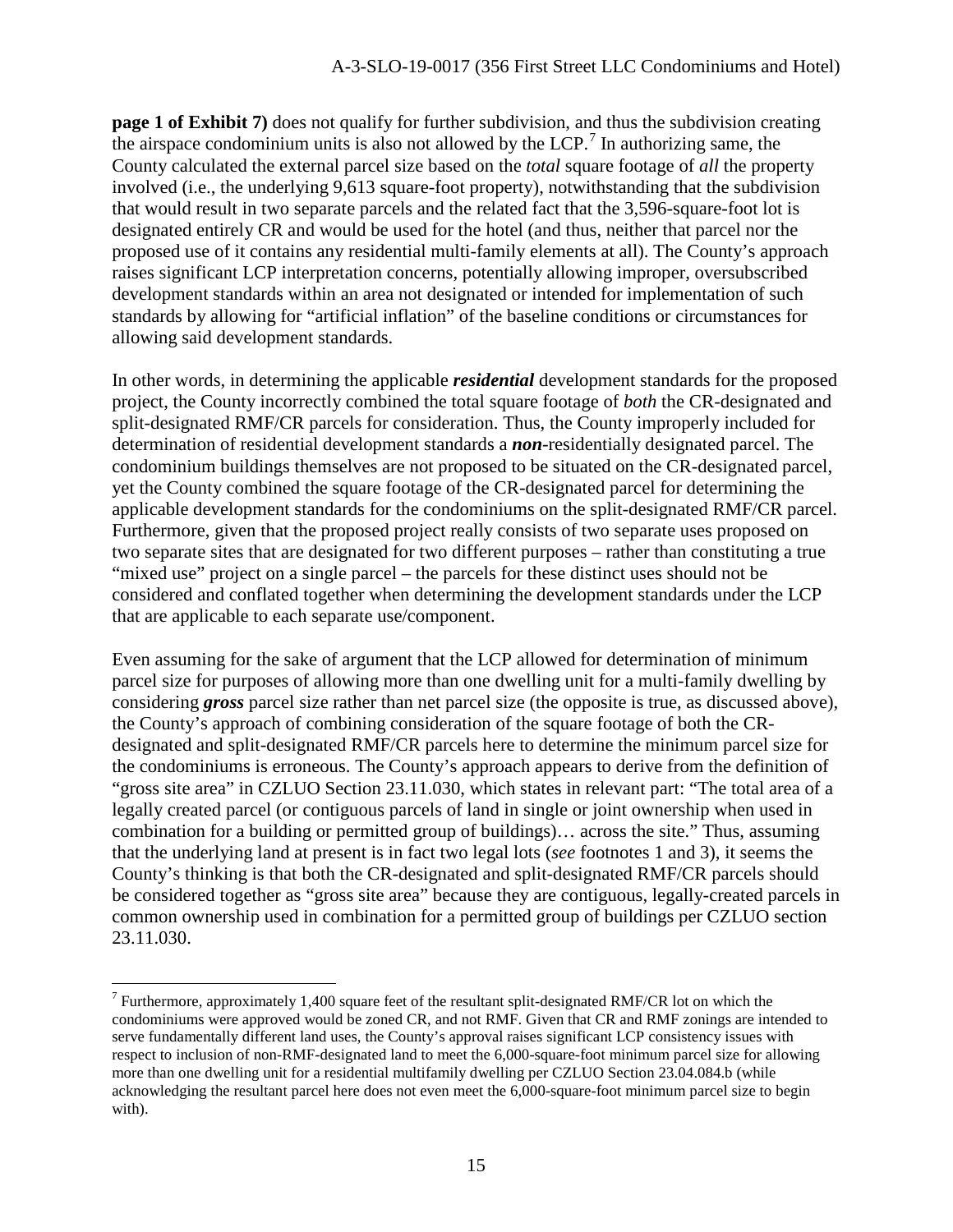**page 1 of Exhibit 7)** does not qualify for further subdivision, and thus the subdivision creating the airspace condominium units is also not allowed by the LCP.<sup>[7](#page-14-0)</sup> In authorizing same, the County calculated the external parcel size based on the *total* square footage of *all* the property involved (i.e., the underlying 9,613 square-foot property), notwithstanding that the subdivision that would result in two separate parcels and the related fact that the 3,596-square-foot lot is designated entirely CR and would be used for the hotel (and thus, neither that parcel nor the proposed use of it contains any residential multi-family elements at all). The County's approach raises significant LCP interpretation concerns, potentially allowing improper, oversubscribed development standards within an area not designated or intended for implementation of such standards by allowing for "artificial inflation" of the baseline conditions or circumstances for allowing said development standards.

In other words, in determining the applicable *residential* development standards for the proposed project, the County incorrectly combined the total square footage of *both* the CR-designated and split-designated RMF/CR parcels for consideration. Thus, the County improperly included for determination of residential development standards a *non*-residentially designated parcel. The condominium buildings themselves are not proposed to be situated on the CR-designated parcel, yet the County combined the square footage of the CR-designated parcel for determining the applicable development standards for the condominiums on the split-designated RMF/CR parcel. Furthermore, given that the proposed project really consists of two separate uses proposed on two separate sites that are designated for two different purposes – rather than constituting a true "mixed use" project on a single parcel – the parcels for these distinct uses should not be considered and conflated together when determining the development standards under the LCP that are applicable to each separate use/component.

Even assuming for the sake of argument that the LCP allowed for determination of minimum parcel size for purposes of allowing more than one dwelling unit for a multi-family dwelling by considering *gross* parcel size rather than net parcel size (the opposite is true, as discussed above), the County's approach of combining consideration of the square footage of both the CRdesignated and split-designated RMF/CR parcels here to determine the minimum parcel size for the condominiums is erroneous. The County's approach appears to derive from the definition of "gross site area" in CZLUO Section 23.11.030, which states in relevant part: "The total area of a legally created parcel (or contiguous parcels of land in single or joint ownership when used in combination for a building or permitted group of buildings)… across the site." Thus, assuming that the underlying land at present is in fact two legal lots (*see* footnotes 1 and 3), it seems the County's thinking is that both the CR-designated and split-designated RMF/CR parcels should be considered together as "gross site area" because they are contiguous, legally-created parcels in common ownership used in combination for a permitted group of buildings per CZLUO section 23.11.030.

 $\overline{a}$ 

<span id="page-14-0"></span> $7$  Furthermore, approximately 1,400 square feet of the resultant split-designated RMF/CR lot on which the condominiums were approved would be zoned CR, and not RMF. Given that CR and RMF zonings are intended to serve fundamentally different land uses, the County's approval raises significant LCP consistency issues with respect to inclusion of non-RMF-designated land to meet the 6,000-square-foot minimum parcel size for allowing more than one dwelling unit for a residential multifamily dwelling per CZLUO Section 23.04.084.b (while acknowledging the resultant parcel here does not even meet the 6,000-square-foot minimum parcel size to begin with).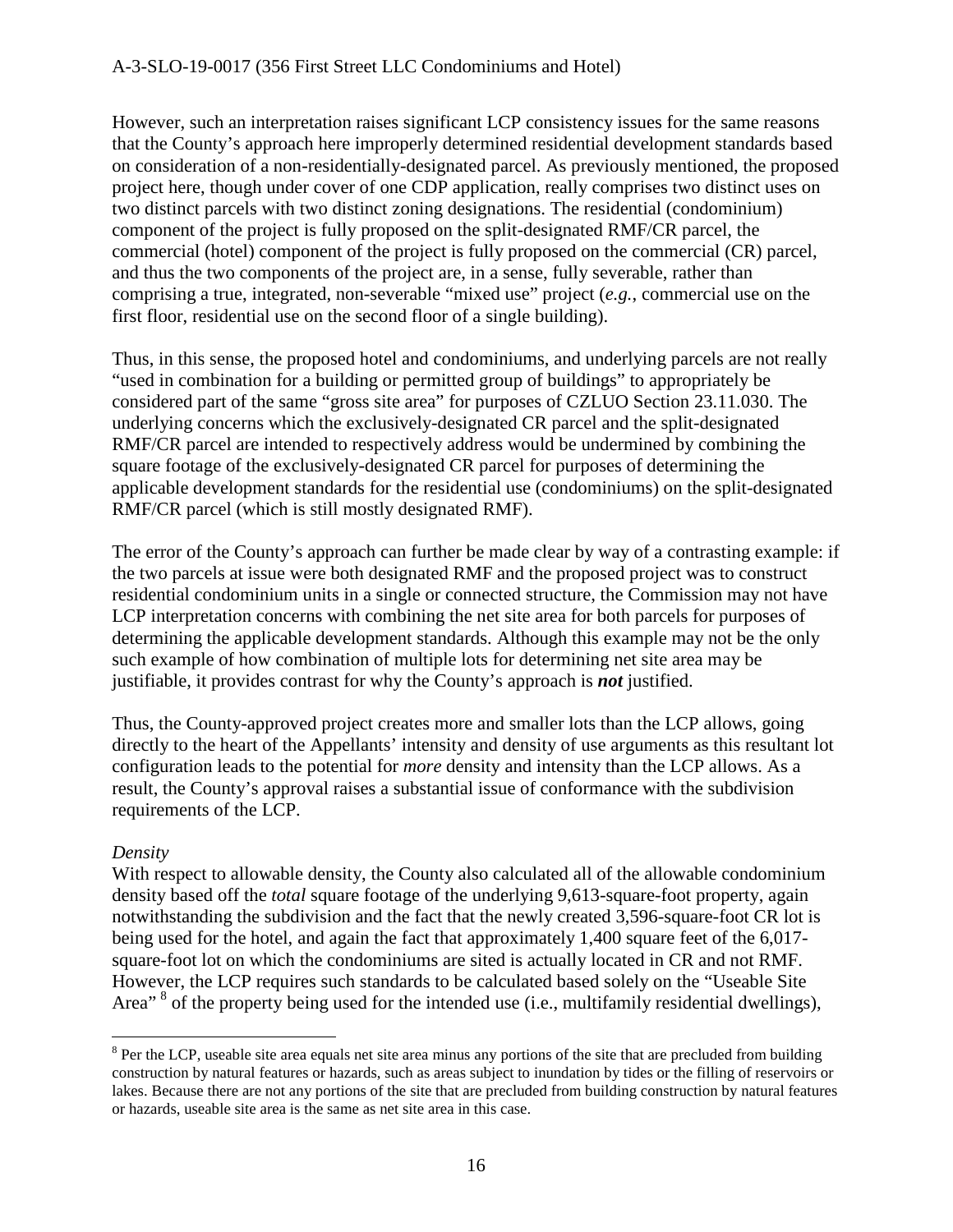#### A-3-SLO-19-0017 (356 First Street LLC Condominiums and Hotel)

However, such an interpretation raises significant LCP consistency issues for the same reasons that the County's approach here improperly determined residential development standards based on consideration of a non-residentially-designated parcel. As previously mentioned, the proposed project here, though under cover of one CDP application, really comprises two distinct uses on two distinct parcels with two distinct zoning designations. The residential (condominium) component of the project is fully proposed on the split-designated RMF/CR parcel, the commercial (hotel) component of the project is fully proposed on the commercial (CR) parcel, and thus the two components of the project are, in a sense, fully severable, rather than comprising a true, integrated, non-severable "mixed use" project (*e.g.*, commercial use on the first floor, residential use on the second floor of a single building).

Thus, in this sense, the proposed hotel and condominiums, and underlying parcels are not really "used in combination for a building or permitted group of buildings" to appropriately be considered part of the same "gross site area" for purposes of CZLUO Section 23.11.030. The underlying concerns which the exclusively-designated CR parcel and the split-designated RMF/CR parcel are intended to respectively address would be undermined by combining the square footage of the exclusively-designated CR parcel for purposes of determining the applicable development standards for the residential use (condominiums) on the split-designated RMF/CR parcel (which is still mostly designated RMF).

The error of the County's approach can further be made clear by way of a contrasting example: if the two parcels at issue were both designated RMF and the proposed project was to construct residential condominium units in a single or connected structure, the Commission may not have LCP interpretation concerns with combining the net site area for both parcels for purposes of determining the applicable development standards. Although this example may not be the only such example of how combination of multiple lots for determining net site area may be justifiable, it provides contrast for why the County's approach is *not* justified.

Thus, the County-approved project creates more and smaller lots than the LCP allows, going directly to the heart of the Appellants' intensity and density of use arguments as this resultant lot configuration leads to the potential for *more* density and intensity than the LCP allows. As a result, the County's approval raises a substantial issue of conformance with the subdivision requirements of the LCP.

#### *Density*

 $\overline{a}$ 

With respect to allowable density, the County also calculated all of the allowable condominium density based off the *total* square footage of the underlying 9,613-square-foot property, again notwithstanding the subdivision and the fact that the newly created 3,596-square-foot CR lot is being used for the hotel, and again the fact that approximately 1,400 square feet of the 6,017 square-foot lot on which the condominiums are sited is actually located in CR and not RMF. However, the LCP requires such standards to be calculated based solely on the "Useable Site Area<sup>" [8](#page-15-0)</sup> of the property being used for the intended use (i.e., multifamily residential dwellings),

<span id="page-15-0"></span><sup>&</sup>lt;sup>8</sup> Per the LCP, useable site area equals net site area minus any portions of the site that are precluded from building construction by natural features or hazards, such as areas subject to inundation by tides or the filling of reservoirs or lakes. Because there are not any portions of the site that are precluded from building construction by natural features or hazards, useable site area is the same as net site area in this case.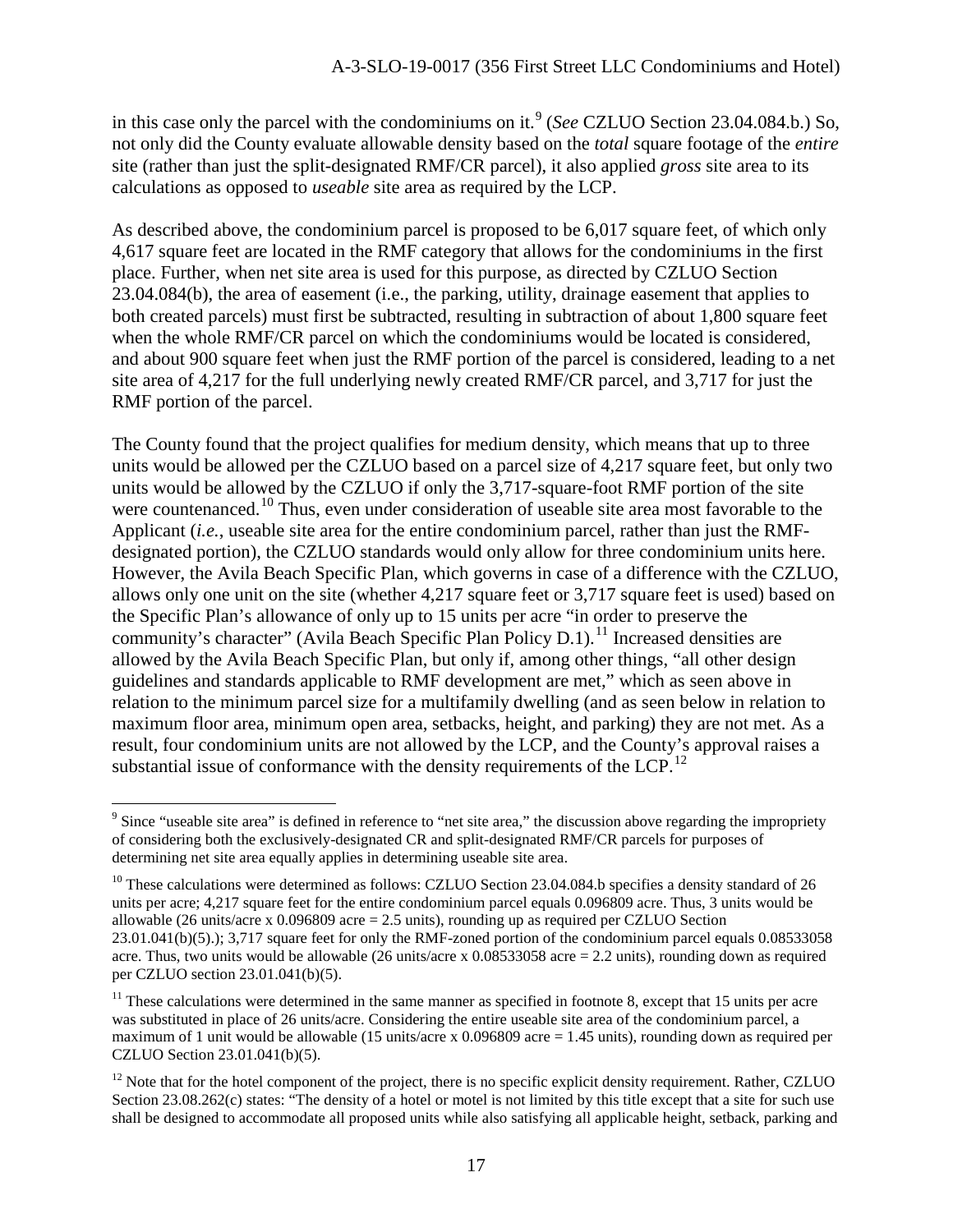in this case only the parcel with the condominiums on it.<sup>[9](#page-16-0)</sup> (*See* CZLUO Section 23.04.084.b.) So, not only did the County evaluate allowable density based on the *total* square footage of the *entire* site (rather than just the split-designated RMF/CR parcel), it also applied *gross* site area to its calculations as opposed to *useable* site area as required by the LCP.

As described above, the condominium parcel is proposed to be 6,017 square feet, of which only 4,617 square feet are located in the RMF category that allows for the condominiums in the first place. Further, when net site area is used for this purpose, as directed by CZLUO Section 23.04.084(b), the area of easement (i.e., the parking, utility, drainage easement that applies to both created parcels) must first be subtracted, resulting in subtraction of about 1,800 square feet when the whole RMF/CR parcel on which the condominiums would be located is considered, and about 900 square feet when just the RMF portion of the parcel is considered, leading to a net site area of 4,217 for the full underlying newly created RMF/CR parcel, and 3,717 for just the RMF portion of the parcel.

The County found that the project qualifies for medium density, which means that up to three units would be allowed per the CZLUO based on a parcel size of 4,217 square feet, but only two units would be allowed by the CZLUO if only the 3,717-square-foot RMF portion of the site were countenanced.<sup>10</sup> Thus, even under consideration of useable site area most favorable to the Applicant (*i.e.*, useable site area for the entire condominium parcel, rather than just the RMFdesignated portion), the CZLUO standards would only allow for three condominium units here. However, the Avila Beach Specific Plan, which governs in case of a difference with the CZLUO, allows only one unit on the site (whether 4,217 square feet or 3,717 square feet is used) based on the Specific Plan's allowance of only up to 15 units per acre "in order to preserve the community's character" (Avila Beach Specific Plan Policy D.1).<sup>[11](#page-16-2)</sup> Increased densities are allowed by the Avila Beach Specific Plan, but only if, among other things, "all other design guidelines and standards applicable to RMF development are met," which as seen above in relation to the minimum parcel size for a multifamily dwelling (and as seen below in relation to maximum floor area, minimum open area, setbacks, height, and parking) they are not met. As a result, four condominium units are not allowed by the LCP, and the County's approval raises a substantial issue of conformance with the density requirements of the LCP.<sup>[12](#page-16-3)</sup>

<span id="page-16-0"></span> $\overline{a}$ <sup>9</sup> Since "useable site area" is defined in reference to "net site area," the discussion above regarding the impropriety of considering both the exclusively-designated CR and split-designated RMF/CR parcels for purposes of determining net site area equally applies in determining useable site area.

<span id="page-16-1"></span> $10$  These calculations were determined as follows: CZLUO Section 23.04.084.b specifies a density standard of 26 units per acre; 4,217 square feet for the entire condominium parcel equals 0.096809 acre. Thus, 3 units would be allowable (26 units/acre x  $0.096809$  acre = 2.5 units), rounding up as required per CZLUO Section 23.01.041(b)(5).); 3,717 square feet for only the RMF-zoned portion of the condominium parcel equals 0.08533058 acre. Thus, two units would be allowable (26 units/acre x  $0.08533058$  acre = 2.2 units), rounding down as required per CZLUO section 23.01.041(b)(5).

<span id="page-16-2"></span> $11$  These calculations were determined in the same manner as specified in footnote 8, except that 15 units per acre was substituted in place of 26 units/acre. Considering the entire useable site area of the condominium parcel, a maximum of 1 unit would be allowable (15 units/acre x 0.096809 acre = 1.45 units), rounding down as required per CZLUO Section 23.01.041(b)(5).

<span id="page-16-3"></span> $12$  Note that for the hotel component of the project, there is no specific explicit density requirement. Rather, CZLUO Section 23.08.262(c) states: "The density of a hotel or motel is not limited by this title except that a site for such use shall be designed to accommodate all proposed units while also satisfying all applicable height, setback, parking and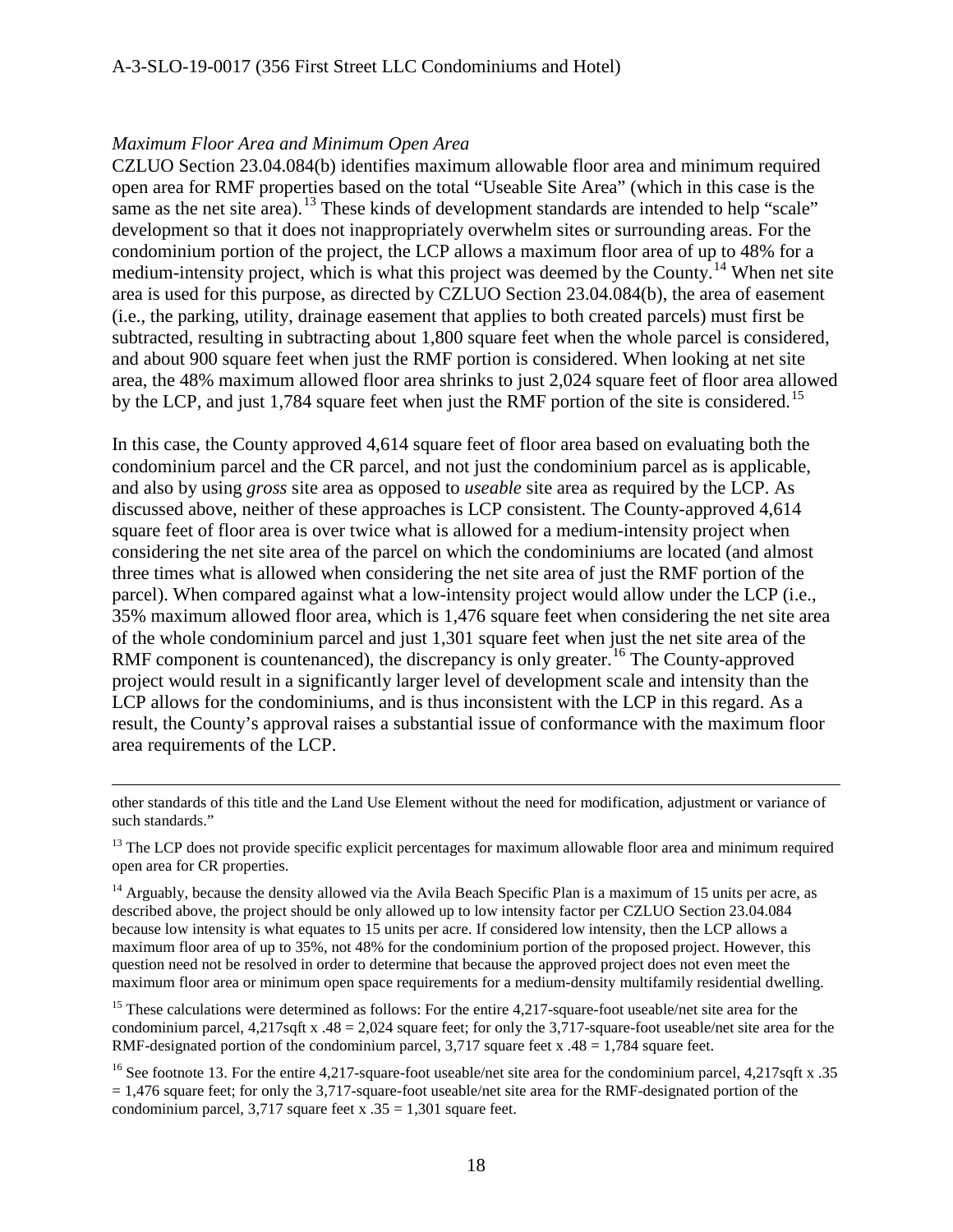#### *Maximum Floor Area and Minimum Open Area*

 $\overline{a}$ 

CZLUO Section 23.04.084(b) identifies maximum allowable floor area and minimum required open area for RMF properties based on the total "Useable Site Area" (which in this case is the same as the net site area).<sup>[13](#page-17-0)</sup> These kinds of development standards are intended to help "scale" development so that it does not inappropriately overwhelm sites or surrounding areas. For the condominium portion of the project, the LCP allows a maximum floor area of up to 48% for a medium-intensity project, which is what this project was deemed by the County.<sup>[14](#page-17-1)</sup> When net site area is used for this purpose, as directed by CZLUO Section 23.04.084(b), the area of easement (i.e., the parking, utility, drainage easement that applies to both created parcels) must first be subtracted, resulting in subtracting about 1,800 square feet when the whole parcel is considered, and about 900 square feet when just the RMF portion is considered. When looking at net site area, the 48% maximum allowed floor area shrinks to just 2,024 square feet of floor area allowed by the LCP, and just 1,784 square feet when just the RMF portion of the site is considered.<sup>15</sup>

In this case, the County approved 4,614 square feet of floor area based on evaluating both the condominium parcel and the CR parcel, and not just the condominium parcel as is applicable, and also by using *gross* site area as opposed to *useable* site area as required by the LCP. As discussed above, neither of these approaches is LCP consistent. The County-approved 4,614 square feet of floor area is over twice what is allowed for a medium-intensity project when considering the net site area of the parcel on which the condominiums are located (and almost three times what is allowed when considering the net site area of just the RMF portion of the parcel). When compared against what a low-intensity project would allow under the LCP (i.e., 35% maximum allowed floor area, which is 1,476 square feet when considering the net site area of the whole condominium parcel and just 1,301 square feet when just the net site area of the RMF component is countenanced), the discrepancy is only greater.<sup>[16](#page-17-3)</sup> The County-approved project would result in a significantly larger level of development scale and intensity than the LCP allows for the condominiums, and is thus inconsistent with the LCP in this regard. As a result, the County's approval raises a substantial issue of conformance with the maximum floor area requirements of the LCP.

<span id="page-17-0"></span> $13$  The LCP does not provide specific explicit percentages for maximum allowable floor area and minimum required open area for CR properties.

<span id="page-17-1"></span><sup>14</sup> Arguably, because the density allowed via the Avila Beach Specific Plan is a maximum of 15 units per acre, as described above, the project should be only allowed up to low intensity factor per CZLUO Section 23.04.084 because low intensity is what equates to 15 units per acre. If considered low intensity, then the LCP allows a maximum floor area of up to 35%, not 48% for the condominium portion of the proposed project. However, this question need not be resolved in order to determine that because the approved project does not even meet the maximum floor area or minimum open space requirements for a medium-density multifamily residential dwelling.

<span id="page-17-2"></span><sup>15</sup> These calculations were determined as follows: For the entire 4,217-square-foot useable/net site area for the condominium parcel,  $4,217$ sqft x  $.48 = 2,024$  square feet; for only the 3,717-square-foot useable/net site area for the RMF-designated portion of the condominium parcel,  $3,717$  square feet x  $.48 = 1,784$  square feet.

<span id="page-17-3"></span><sup>16</sup> See footnote 13. For the entire 4,217-square-foot useable/net site area for the condominium parcel, 4,217sqft x .35  $= 1.476$  square feet; for only the 3,717-square-foot useable/net site area for the RMF-designated portion of the condominium parcel, 3,717 square feet x  $.35 = 1,301$  square feet.

other standards of this title and the Land Use Element without the need for modification, adjustment or variance of such standards."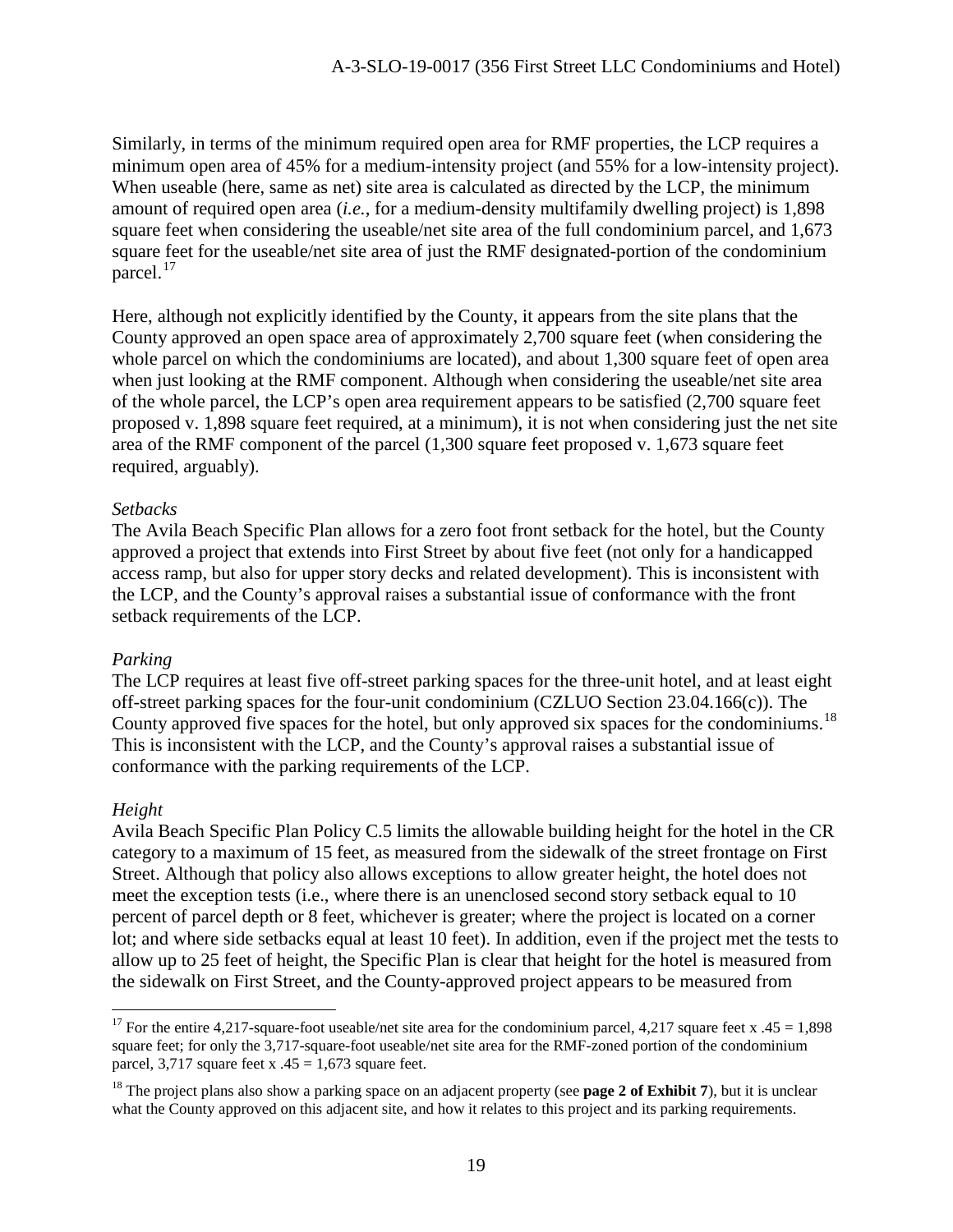Similarly, in terms of the minimum required open area for RMF properties, the LCP requires a minimum open area of 45% for a medium-intensity project (and 55% for a low-intensity project). When useable (here, same as net) site area is calculated as directed by the LCP, the minimum amount of required open area (*i.e.*, for a medium-density multifamily dwelling project) is 1,898 square feet when considering the useable/net site area of the full condominium parcel, and 1,673 square feet for the useable/net site area of just the RMF designated-portion of the condominium parcel.<sup>[17](#page-18-0)</sup>

Here, although not explicitly identified by the County, it appears from the site plans that the County approved an open space area of approximately 2,700 square feet (when considering the whole parcel on which the condominiums are located), and about 1,300 square feet of open area when just looking at the RMF component. Although when considering the useable/net site area of the whole parcel, the LCP's open area requirement appears to be satisfied (2,700 square feet proposed v. 1,898 square feet required, at a minimum), it is not when considering just the net site area of the RMF component of the parcel (1,300 square feet proposed v. 1,673 square feet required, arguably).

### *Setbacks*

The Avila Beach Specific Plan allows for a zero foot front setback for the hotel, but the County approved a project that extends into First Street by about five feet (not only for a handicapped access ramp, but also for upper story decks and related development). This is inconsistent with the LCP, and the County's approval raises a substantial issue of conformance with the front setback requirements of the LCP.

#### *Parking*

The LCP requires at least five off-street parking spaces for the three-unit hotel, and at least eight off-street parking spaces for the four-unit condominium (CZLUO Section 23.04.166(c)). The County approved five spaces for the hotel, but only approved six spaces for the condominiums.<sup>[18](#page-18-1)</sup> This is inconsistent with the LCP, and the County's approval raises a substantial issue of conformance with the parking requirements of the LCP.

### *Height*

 $\overline{a}$ 

Avila Beach Specific Plan Policy C.5 limits the allowable building height for the hotel in the CR category to a maximum of 15 feet, as measured from the sidewalk of the street frontage on First Street. Although that policy also allows exceptions to allow greater height, the hotel does not meet the exception tests (i.e., where there is an unenclosed second story setback equal to 10 percent of parcel depth or 8 feet, whichever is greater; where the project is located on a corner lot; and where side setbacks equal at least 10 feet). In addition, even if the project met the tests to allow up to 25 feet of height, the Specific Plan is clear that height for the hotel is measured from the sidewalk on First Street, and the County-approved project appears to be measured from

<span id="page-18-0"></span><sup>&</sup>lt;sup>17</sup> For the entire 4,217-square-foot useable/net site area for the condominium parcel, 4,217 square feet x .45 = 1,898 square feet; for only the 3,717-square-foot useable/net site area for the RMF-zoned portion of the condominium parcel, 3,717 square feet x  $.45 = 1,673$  square feet.

<span id="page-18-1"></span><sup>&</sup>lt;sup>18</sup> The project plans also show a parking space on an adjacent property (see **page 2 of Exhibit 7**), but it is unclear what the County approved on this adjacent site, and how it relates to this project and its parking requirements.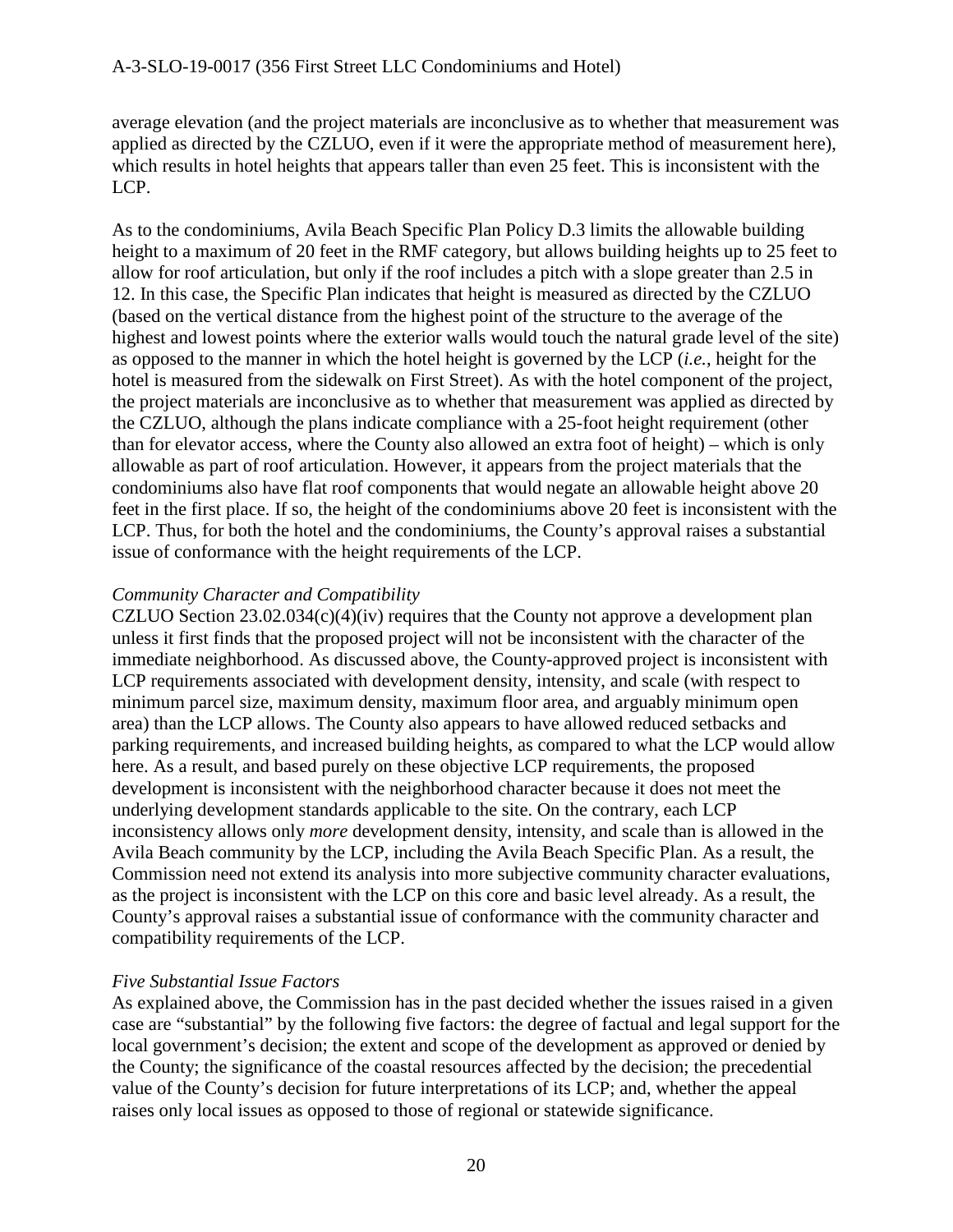average elevation (and the project materials are inconclusive as to whether that measurement was applied as directed by the CZLUO, even if it were the appropriate method of measurement here), which results in hotel heights that appears taller than even 25 feet. This is inconsistent with the LCP.

As to the condominiums, Avila Beach Specific Plan Policy D.3 limits the allowable building height to a maximum of 20 feet in the RMF category, but allows building heights up to 25 feet to allow for roof articulation, but only if the roof includes a pitch with a slope greater than 2.5 in 12. In this case, the Specific Plan indicates that height is measured as directed by the CZLUO (based on the vertical distance from the highest point of the structure to the average of the highest and lowest points where the exterior walls would touch the natural grade level of the site) as opposed to the manner in which the hotel height is governed by the LCP (*i.e.*, height for the hotel is measured from the sidewalk on First Street). As with the hotel component of the project, the project materials are inconclusive as to whether that measurement was applied as directed by the CZLUO, although the plans indicate compliance with a 25-foot height requirement (other than for elevator access, where the County also allowed an extra foot of height) – which is only allowable as part of roof articulation. However, it appears from the project materials that the condominiums also have flat roof components that would negate an allowable height above 20 feet in the first place. If so, the height of the condominiums above 20 feet is inconsistent with the LCP. Thus, for both the hotel and the condominiums, the County's approval raises a substantial issue of conformance with the height requirements of the LCP.

#### *Community Character and Compatibility*

CZLUO Section 23.02.034(c)(4)(iv) requires that the County not approve a development plan unless it first finds that the proposed project will not be inconsistent with the character of the immediate neighborhood. As discussed above, the County-approved project is inconsistent with LCP requirements associated with development density, intensity, and scale (with respect to minimum parcel size, maximum density, maximum floor area, and arguably minimum open area) than the LCP allows. The County also appears to have allowed reduced setbacks and parking requirements, and increased building heights, as compared to what the LCP would allow here. As a result, and based purely on these objective LCP requirements, the proposed development is inconsistent with the neighborhood character because it does not meet the underlying development standards applicable to the site. On the contrary, each LCP inconsistency allows only *more* development density, intensity, and scale than is allowed in the Avila Beach community by the LCP, including the Avila Beach Specific Plan. As a result, the Commission need not extend its analysis into more subjective community character evaluations, as the project is inconsistent with the LCP on this core and basic level already. As a result, the County's approval raises a substantial issue of conformance with the community character and compatibility requirements of the LCP.

### *Five Substantial Issue Factors*

As explained above, the Commission has in the past decided whether the issues raised in a given case are "substantial" by the following five factors: the degree of factual and legal support for the local government's decision; the extent and scope of the development as approved or denied by the County; the significance of the coastal resources affected by the decision; the precedential value of the County's decision for future interpretations of its LCP; and, whether the appeal raises only local issues as opposed to those of regional or statewide significance.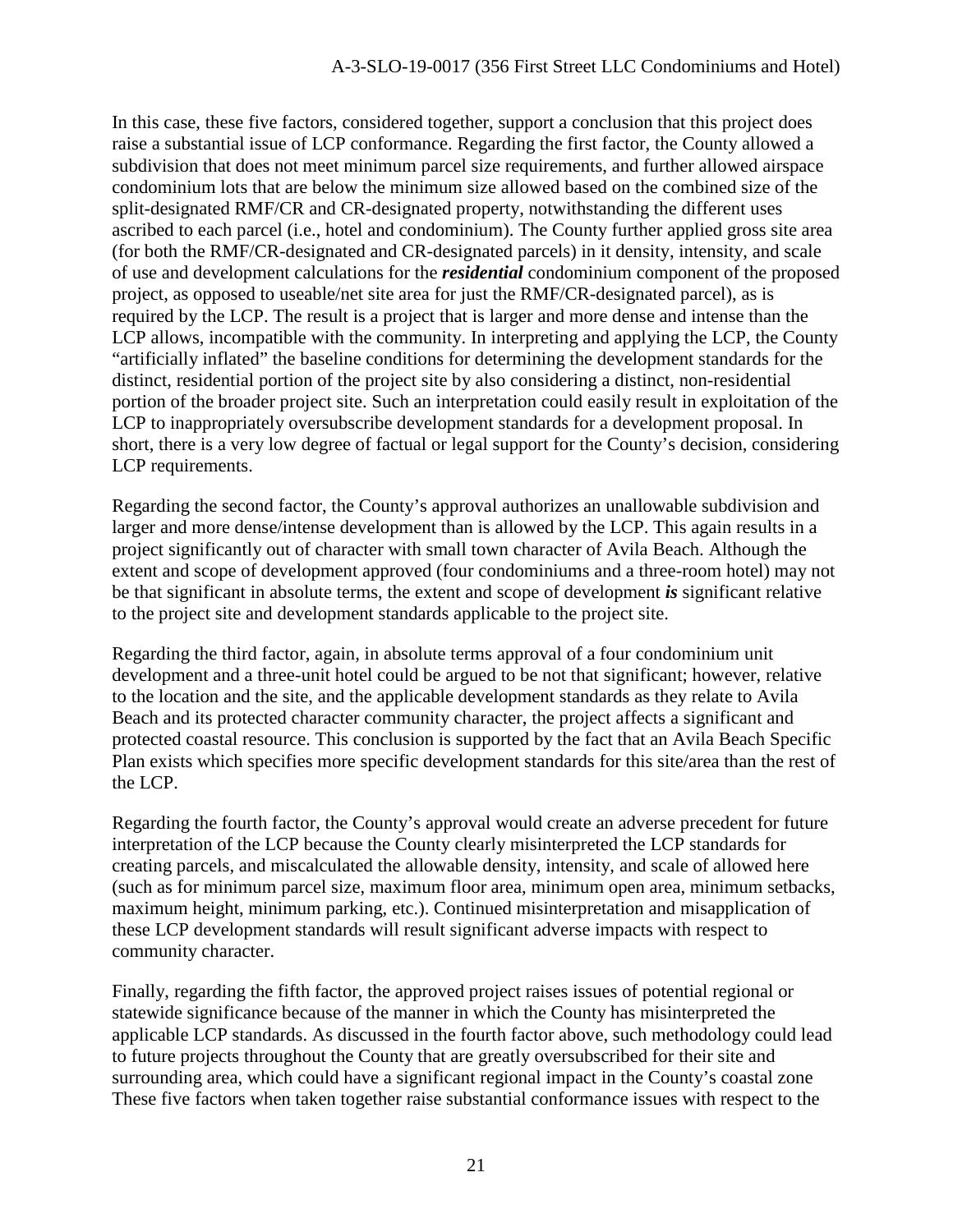In this case, these five factors, considered together, support a conclusion that this project does raise a substantial issue of LCP conformance. Regarding the first factor, the County allowed a subdivision that does not meet minimum parcel size requirements, and further allowed airspace condominium lots that are below the minimum size allowed based on the combined size of the split-designated RMF/CR and CR-designated property, notwithstanding the different uses ascribed to each parcel (i.e., hotel and condominium). The County further applied gross site area (for both the RMF/CR-designated and CR-designated parcels) in it density, intensity, and scale of use and development calculations for the *residential* condominium component of the proposed project, as opposed to useable/net site area for just the RMF/CR-designated parcel), as is required by the LCP. The result is a project that is larger and more dense and intense than the LCP allows, incompatible with the community. In interpreting and applying the LCP, the County "artificially inflated" the baseline conditions for determining the development standards for the distinct, residential portion of the project site by also considering a distinct, non-residential portion of the broader project site. Such an interpretation could easily result in exploitation of the LCP to inappropriately oversubscribe development standards for a development proposal. In short, there is a very low degree of factual or legal support for the County's decision, considering LCP requirements.

Regarding the second factor, the County's approval authorizes an unallowable subdivision and larger and more dense/intense development than is allowed by the LCP. This again results in a project significantly out of character with small town character of Avila Beach. Although the extent and scope of development approved (four condominiums and a three-room hotel) may not be that significant in absolute terms, the extent and scope of development *is* significant relative to the project site and development standards applicable to the project site.

Regarding the third factor, again, in absolute terms approval of a four condominium unit development and a three-unit hotel could be argued to be not that significant; however, relative to the location and the site, and the applicable development standards as they relate to Avila Beach and its protected character community character, the project affects a significant and protected coastal resource. This conclusion is supported by the fact that an Avila Beach Specific Plan exists which specifies more specific development standards for this site/area than the rest of the LCP.

Regarding the fourth factor, the County's approval would create an adverse precedent for future interpretation of the LCP because the County clearly misinterpreted the LCP standards for creating parcels, and miscalculated the allowable density, intensity, and scale of allowed here (such as for minimum parcel size, maximum floor area, minimum open area, minimum setbacks, maximum height, minimum parking, etc.). Continued misinterpretation and misapplication of these LCP development standards will result significant adverse impacts with respect to community character.

Finally, regarding the fifth factor, the approved project raises issues of potential regional or statewide significance because of the manner in which the County has misinterpreted the applicable LCP standards. As discussed in the fourth factor above, such methodology could lead to future projects throughout the County that are greatly oversubscribed for their site and surrounding area, which could have a significant regional impact in the County's coastal zone These five factors when taken together raise substantial conformance issues with respect to the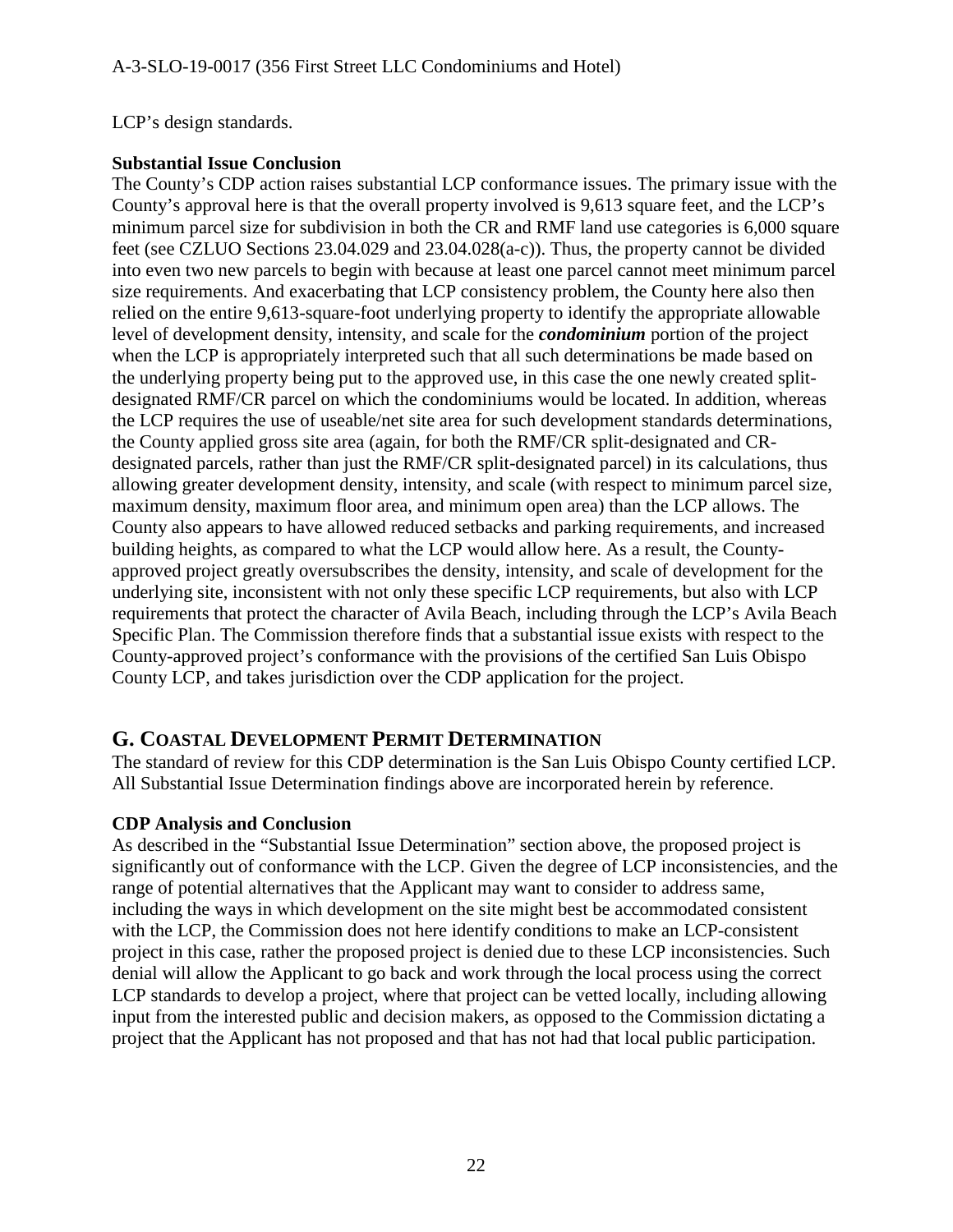#### LCP's design standards.

### **Substantial Issue Conclusion**

The County's CDP action raises substantial LCP conformance issues. The primary issue with the County's approval here is that the overall property involved is 9,613 square feet, and the LCP's minimum parcel size for subdivision in both the CR and RMF land use categories is 6,000 square feet (see CZLUO Sections 23.04.029 and 23.04.028(a-c)). Thus, the property cannot be divided into even two new parcels to begin with because at least one parcel cannot meet minimum parcel size requirements. And exacerbating that LCP consistency problem, the County here also then relied on the entire 9,613-square-foot underlying property to identify the appropriate allowable level of development density, intensity, and scale for the *condominium* portion of the project when the LCP is appropriately interpreted such that all such determinations be made based on the underlying property being put to the approved use, in this case the one newly created splitdesignated RMF/CR parcel on which the condominiums would be located. In addition, whereas the LCP requires the use of useable/net site area for such development standards determinations, the County applied gross site area (again, for both the RMF/CR split-designated and CRdesignated parcels, rather than just the RMF/CR split-designated parcel) in its calculations, thus allowing greater development density, intensity, and scale (with respect to minimum parcel size, maximum density, maximum floor area, and minimum open area) than the LCP allows. The County also appears to have allowed reduced setbacks and parking requirements, and increased building heights, as compared to what the LCP would allow here. As a result, the Countyapproved project greatly oversubscribes the density, intensity, and scale of development for the underlying site, inconsistent with not only these specific LCP requirements, but also with LCP requirements that protect the character of Avila Beach, including through the LCP's Avila Beach Specific Plan. The Commission therefore finds that a substantial issue exists with respect to the County-approved project's conformance with the provisions of the certified San Luis Obispo County LCP, and takes jurisdiction over the CDP application for the project.

## **G. COASTAL DEVELOPMENT PERMIT DETERMINATION**

The standard of review for this CDP determination is the San Luis Obispo County certified LCP. All Substantial Issue Determination findings above are incorporated herein by reference.

### **CDP Analysis and Conclusion**

As described in the "Substantial Issue Determination" section above, the proposed project is significantly out of conformance with the LCP. Given the degree of LCP inconsistencies, and the range of potential alternatives that the Applicant may want to consider to address same, including the ways in which development on the site might best be accommodated consistent with the LCP, the Commission does not here identify conditions to make an LCP-consistent project in this case, rather the proposed project is denied due to these LCP inconsistencies. Such denial will allow the Applicant to go back and work through the local process using the correct LCP standards to develop a project, where that project can be vetted locally, including allowing input from the interested public and decision makers, as opposed to the Commission dictating a project that the Applicant has not proposed and that has not had that local public participation.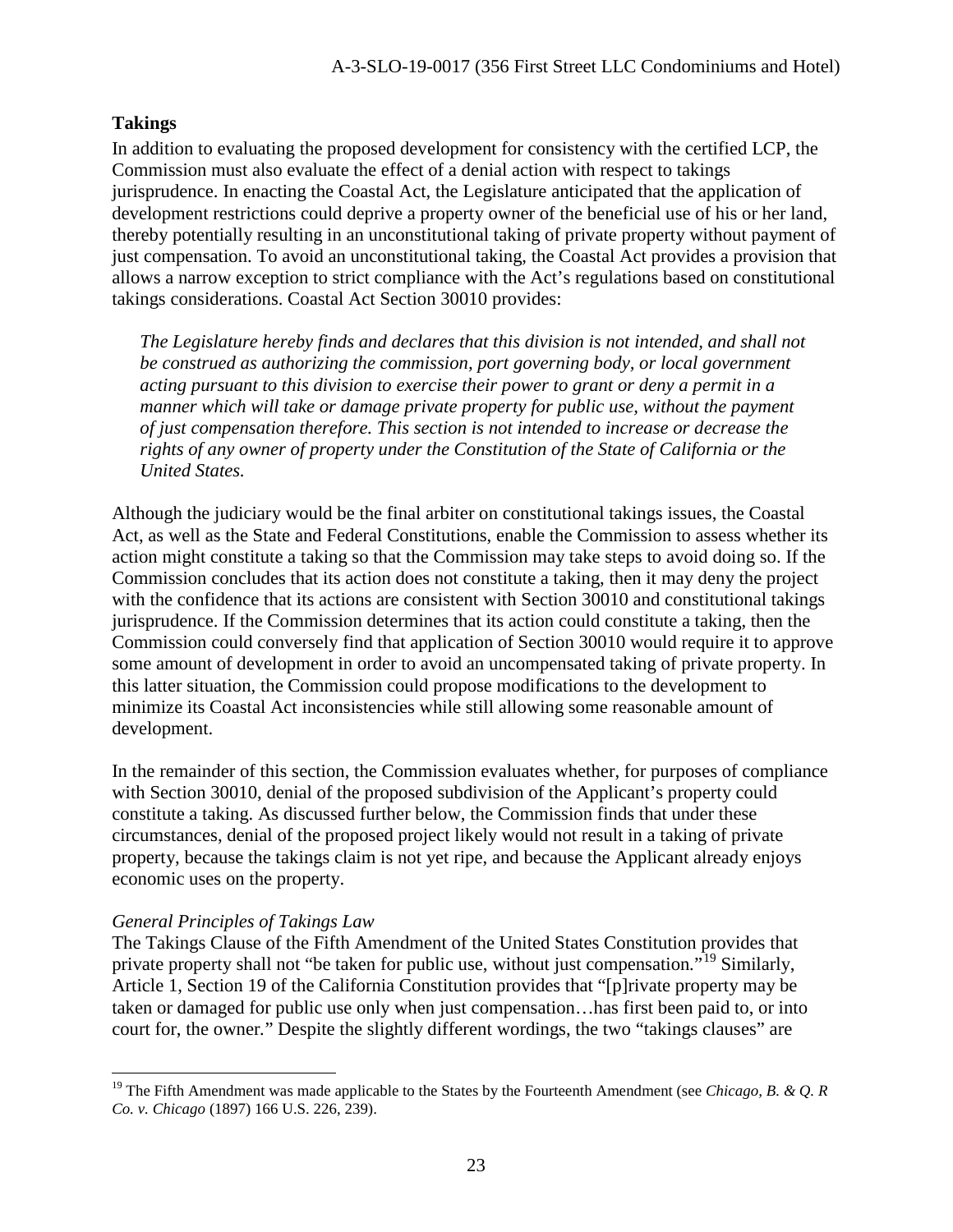### **Takings**

In addition to evaluating the proposed development for consistency with the certified LCP, the Commission must also evaluate the effect of a denial action with respect to takings jurisprudence. In enacting the Coastal Act, the Legislature anticipated that the application of development restrictions could deprive a property owner of the beneficial use of his or her land, thereby potentially resulting in an unconstitutional taking of private property without payment of just compensation. To avoid an unconstitutional taking, the Coastal Act provides a provision that allows a narrow exception to strict compliance with the Act's regulations based on constitutional takings considerations. Coastal Act Section 30010 provides:

*The Legislature hereby finds and declares that this division is not intended, and shall not be construed as authorizing the commission, port governing body, or local government acting pursuant to this division to exercise their power to grant or deny a permit in a manner which will take or damage private property for public use, without the payment of just compensation therefore. This section is not intended to increase or decrease the rights of any owner of property under the Constitution of the State of California or the United States.* 

Although the judiciary would be the final arbiter on constitutional takings issues, the Coastal Act, as well as the State and Federal Constitutions, enable the Commission to assess whether its action might constitute a taking so that the Commission may take steps to avoid doing so. If the Commission concludes that its action does not constitute a taking, then it may deny the project with the confidence that its actions are consistent with Section 30010 and constitutional takings jurisprudence. If the Commission determines that its action could constitute a taking, then the Commission could conversely find that application of Section 30010 would require it to approve some amount of development in order to avoid an uncompensated taking of private property. In this latter situation, the Commission could propose modifications to the development to minimize its Coastal Act inconsistencies while still allowing some reasonable amount of development.

In the remainder of this section, the Commission evaluates whether, for purposes of compliance with Section 30010, denial of the proposed subdivision of the Applicant's property could constitute a taking. As discussed further below, the Commission finds that under these circumstances, denial of the proposed project likely would not result in a taking of private property, because the takings claim is not yet ripe, and because the Applicant already enjoys economic uses on the property.

#### *General Principles of Takings Law*

The Takings Clause of the Fifth Amendment of the United States Constitution provides that private property shall not "be taken for public use, without just compensation*.*"[19](#page-22-0) Similarly, Article 1, Section 19 of the California Constitution provides that "[p]rivate property may be taken or damaged for public use only when just compensation…has first been paid to, or into court for, the owner*.*" Despite the slightly different wordings, the two "takings clauses" are

<span id="page-22-0"></span> $\overline{a}$ <sup>19</sup> The Fifth Amendment was made applicable to the States by the Fourteenth Amendment (see *Chicago, B. & Q. R Co. v. Chicago* (1897) 166 U.S. 226, 239).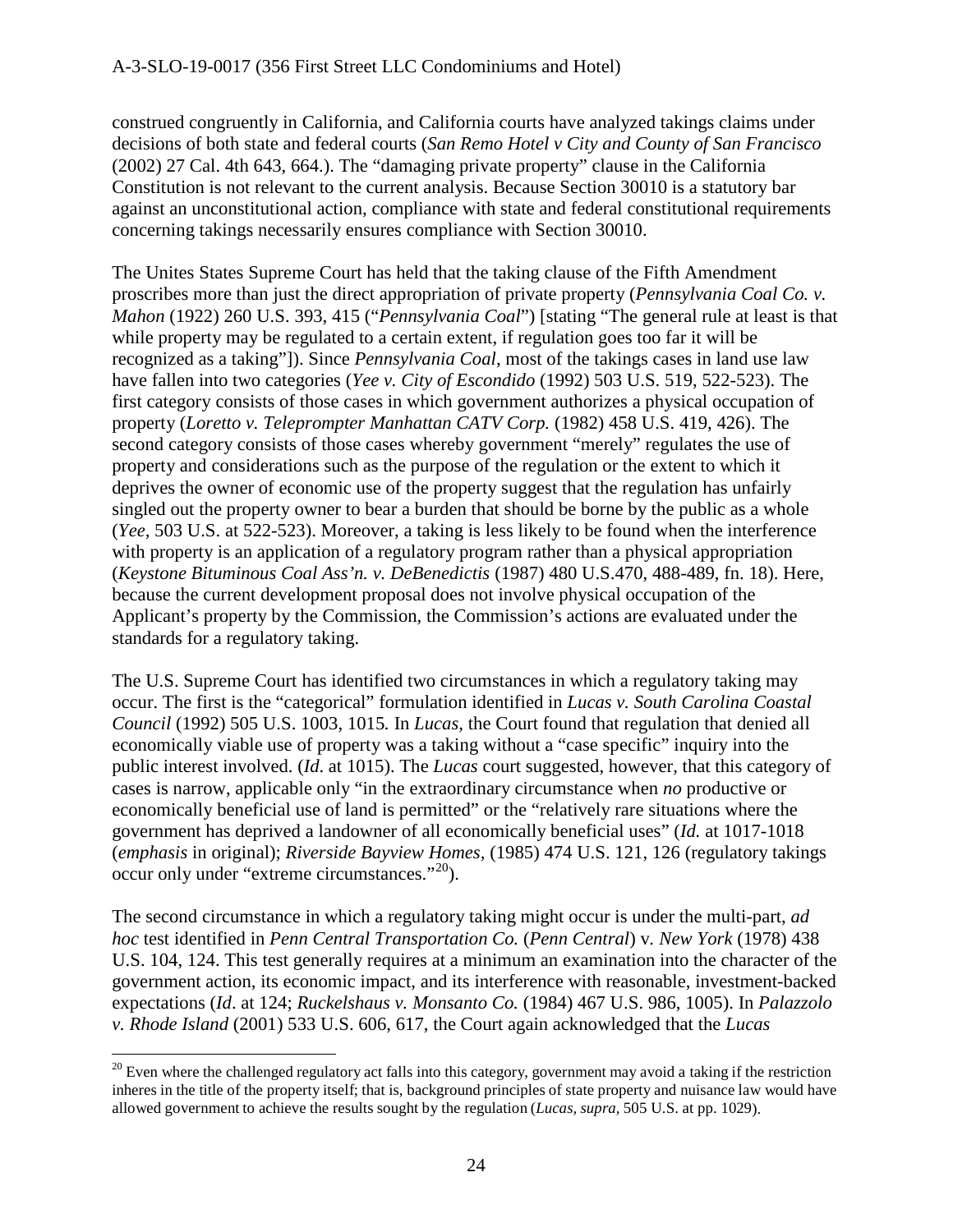construed congruently in California, and California courts have analyzed takings claims under decisions of both state and federal courts (*San Remo Hotel v City and County of San Francisco* (2002) 27 Cal. 4th 643, 664.). The "damaging private property" clause in the California Constitution is not relevant to the current analysis. Because Section 30010 is a statutory bar against an unconstitutional action, compliance with state and federal constitutional requirements concerning takings necessarily ensures compliance with Section 30010.

The Unites States Supreme Court has held that the taking clause of the Fifth Amendment proscribes more than just the direct appropriation of private property (*Pennsylvania Coal Co. v. Mahon* (1922) 260 U.S. 393, 415 ("*Pennsylvania Coal*") [stating "The general rule at least is that while property may be regulated to a certain extent, if regulation goes too far it will be recognized as a taking"]). Since *Pennsylvania Coal*, most of the takings cases in land use law have fallen into two categories (*Yee v. City of Escondido* (1992) 503 U.S. 519, 522-523). The first category consists of those cases in which government authorizes a physical occupation of property (*Loretto v. Teleprompter Manhattan CATV Corp.* (1982) 458 U.S. 419, 426). The second category consists of those cases whereby government "merely" regulates the use of property and considerations such as the purpose of the regulation or the extent to which it deprives the owner of economic use of the property suggest that the regulation has unfairly singled out the property owner to bear a burden that should be borne by the public as a whole (*Yee,* 503 U.S. at 522-523). Moreover, a taking is less likely to be found when the interference with property is an application of a regulatory program rather than a physical appropriation (*Keystone Bituminous Coal Ass'n. v. DeBenedictis* (1987) 480 U.S.470, 488-489, fn. 18). Here, because the current development proposal does not involve physical occupation of the Applicant's property by the Commission, the Commission's actions are evaluated under the standards for a regulatory taking.

The U.S. Supreme Court has identified two circumstances in which a regulatory taking may occur. The first is the "categorical" formulation identified in *Lucas v. South Carolina Coastal Council* (1992) 505 U.S. 1003, 1015*.* In *Lucas,* the Court found that regulation that denied all economically viable use of property was a taking without a "case specific" inquiry into the public interest involved. (*Id*. at 1015). The *Lucas* court suggested, however, that this category of cases is narrow, applicable only "in the extraordinary circumstance when *no* productive or economically beneficial use of land is permitted" or the "relatively rare situations where the government has deprived a landowner of all economically beneficial uses" (*Id.* at 1017-1018 (*emphasis* in original); *Riverside Bayview Homes,* (1985) 474 U.S. 121, 126 (regulatory takings occur only under "extreme circumstances."[20](#page-23-0)).

The second circumstance in which a regulatory taking might occur is under the multi-part, *ad hoc* test identified in *Penn Central Transportation Co.* (*Penn Central*) v*. New York* (1978) 438 U.S. 104, 124. This test generally requires at a minimum an examination into the character of the government action, its economic impact, and its interference with reasonable, investment-backed expectations (*Id*. at 124; *Ruckelshaus v. Monsanto Co.* (1984) 467 U.S. 986, 1005). In *Palazzolo v. Rhode Island* (2001) 533 U.S. 606, 617, the Court again acknowledged that the *Lucas* 

<span id="page-23-0"></span> $\overline{a}$  $20$  Even where the challenged regulatory act falls into this category, government may avoid a taking if the restriction inheres in the title of the property itself; that is, background principles of state property and nuisance law would have allowed government to achieve the results sought by the regulation (*Lucas, supra,* 505 U.S. at pp. 1029).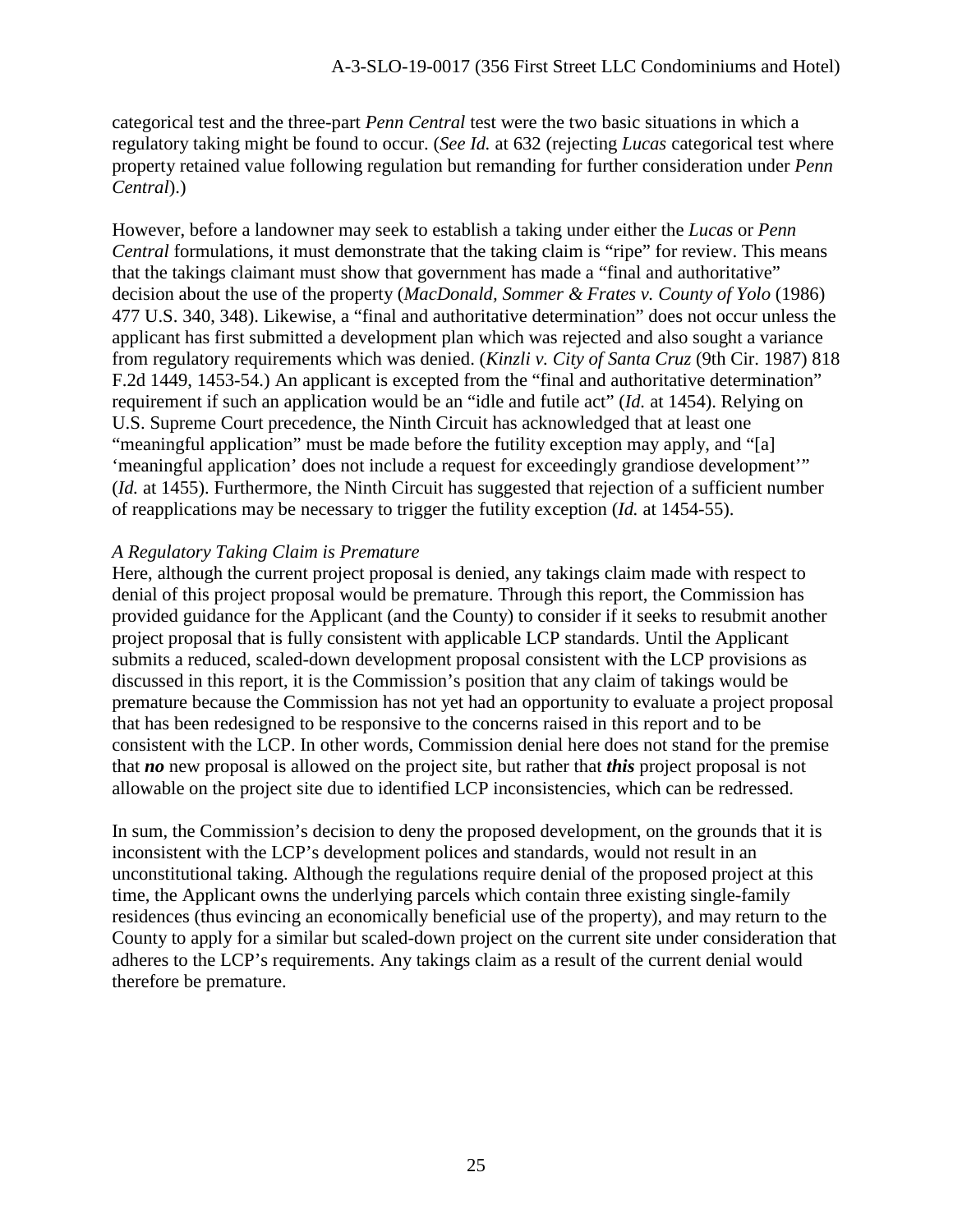categorical test and the three-part *Penn Central* test were the two basic situations in which a regulatory taking might be found to occur. (*See Id.* at 632 (rejecting *Lucas* categorical test where property retained value following regulation but remanding for further consideration under *Penn Central*).)

However, before a landowner may seek to establish a taking under either the *Lucas* or *Penn Central* formulations, it must demonstrate that the taking claim is "ripe" for review. This means that the takings claimant must show that government has made a "final and authoritative" decision about the use of the property (*MacDonald, Sommer & Frates v. County of Yolo* (1986) 477 U.S. 340, 348). Likewise, a "final and authoritative determination" does not occur unless the applicant has first submitted a development plan which was rejected and also sought a variance from regulatory requirements which was denied. (*Kinzli v. City of Santa Cruz* (9th Cir. 1987) 818 F.2d 1449, 1453-54.) An applicant is excepted from the "final and authoritative determination" requirement if such an application would be an "idle and futile act" (*Id.* at 1454). Relying on U.S. Supreme Court precedence, the Ninth Circuit has acknowledged that at least one "meaningful application" must be made before the futility exception may apply, and "[a] 'meaningful application' does not include a request for exceedingly grandiose development'" (*Id.* at 1455). Furthermore, the Ninth Circuit has suggested that rejection of a sufficient number of reapplications may be necessary to trigger the futility exception (*Id.* at 1454-55).

#### *A Regulatory Taking Claim is Premature*

Here, although the current project proposal is denied, any takings claim made with respect to denial of this project proposal would be premature. Through this report, the Commission has provided guidance for the Applicant (and the County) to consider if it seeks to resubmit another project proposal that is fully consistent with applicable LCP standards. Until the Applicant submits a reduced, scaled-down development proposal consistent with the LCP provisions as discussed in this report, it is the Commission's position that any claim of takings would be premature because the Commission has not yet had an opportunity to evaluate a project proposal that has been redesigned to be responsive to the concerns raised in this report and to be consistent with the LCP. In other words, Commission denial here does not stand for the premise that *no* new proposal is allowed on the project site, but rather that *this* project proposal is not allowable on the project site due to identified LCP inconsistencies, which can be redressed.

In sum, the Commission's decision to deny the proposed development, on the grounds that it is inconsistent with the LCP's development polices and standards, would not result in an unconstitutional taking. Although the regulations require denial of the proposed project at this time, the Applicant owns the underlying parcels which contain three existing single-family residences (thus evincing an economically beneficial use of the property), and may return to the County to apply for a similar but scaled-down project on the current site under consideration that adheres to the LCP's requirements. Any takings claim as a result of the current denial would therefore be premature.